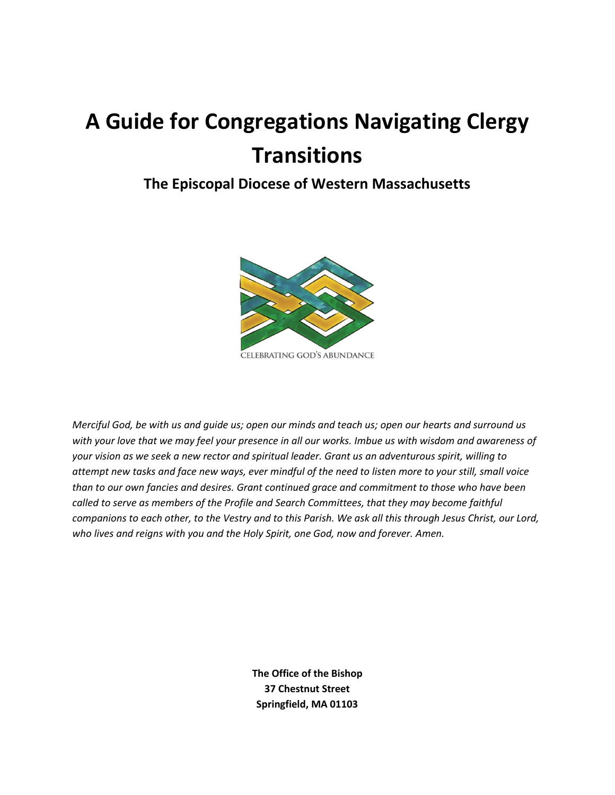# **A Guide for Congregations Navigating Clergy Transitions**

# **The Episcopal Diocese of Western Massachusetts**



*Merciful God, be with us and guide us; open our minds and teach us; open our hearts and surround us with your love that we may feel your presence in all our works. Imbue us with wisdom and awareness of your vision as we seek a new rector and spiritual leader. Grant us an adventurous spirit, willing to attempt new tasks and face new ways, ever mindful of the need to listen more to your still, small voice than to our own fancies and desires. Grant continued grace and commitment to those who have been called to serve as members of the Profile and Search Committees, that they may become faithful companions to each other, to the Vestry and to this Parish. We ask all this through Jesus Christ, our Lord, who lives and reigns with you and the Holy Spirit, one God, now and forever. Amen.*

> **The Office of the Bishop 37 Chestnut Street Springfield, MA 01103**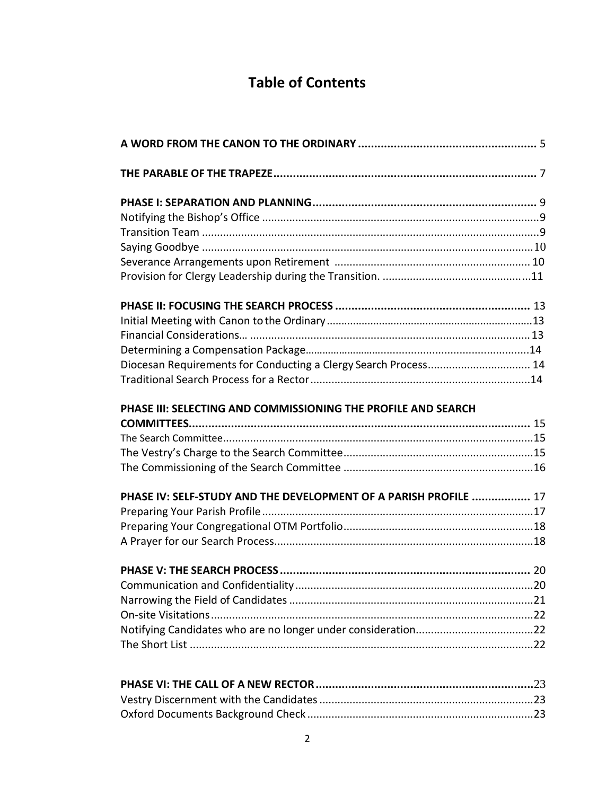# **Table of Contents**

| Diocesan Requirements for Conducting a Clergy Search Process 14  |  |
|------------------------------------------------------------------|--|
|                                                                  |  |
| PHASE III: SELECTING AND COMMISSIONING THE PROFILE AND SEARCH    |  |
|                                                                  |  |
|                                                                  |  |
|                                                                  |  |
|                                                                  |  |
| PHASE IV: SELF-STUDY AND THE DEVELOPMENT OF A PARISH PROFILE  17 |  |
|                                                                  |  |
|                                                                  |  |
|                                                                  |  |
|                                                                  |  |
|                                                                  |  |
|                                                                  |  |
|                                                                  |  |
|                                                                  |  |
|                                                                  |  |
|                                                                  |  |
|                                                                  |  |
|                                                                  |  |
|                                                                  |  |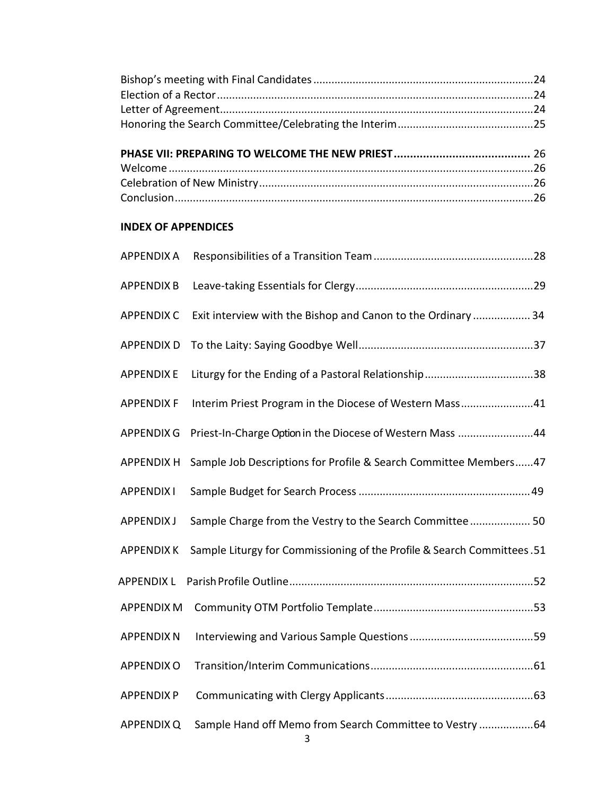#### **INDEX OF APPENDICES**

| <b>APPENDIX A</b> |                                                                        |  |
|-------------------|------------------------------------------------------------------------|--|
| <b>APPENDIX B</b> |                                                                        |  |
| <b>APPENDIX C</b> | Exit interview with the Bishop and Canon to the Ordinary  34           |  |
| <b>APPENDIX D</b> |                                                                        |  |
| <b>APPENDIXE</b>  |                                                                        |  |
| <b>APPENDIX F</b> | Interim Priest Program in the Diocese of Western Mass41                |  |
| <b>APPENDIX G</b> | Priest-In-Charge Option in the Diocese of Western Mass 44              |  |
| <b>APPENDIX H</b> | Sample Job Descriptions for Profile & Search Committee Members47       |  |
| <b>APPENDIX I</b> |                                                                        |  |
| <b>APPENDIX J</b> | Sample Charge from the Vestry to the Search Committee 50               |  |
| <b>APPENDIXK</b>  | Sample Liturgy for Commissioning of the Profile & Search Committees.51 |  |
| <b>APPENDIX L</b> |                                                                        |  |
| <b>APPENDIX M</b> |                                                                        |  |
| <b>APPENDIX N</b> |                                                                        |  |
| <b>APPENDIX O</b> |                                                                        |  |
| <b>APPENDIXP</b>  |                                                                        |  |
| <b>APPENDIX Q</b> | Sample Hand off Memo from Search Committee to Vestry 64                |  |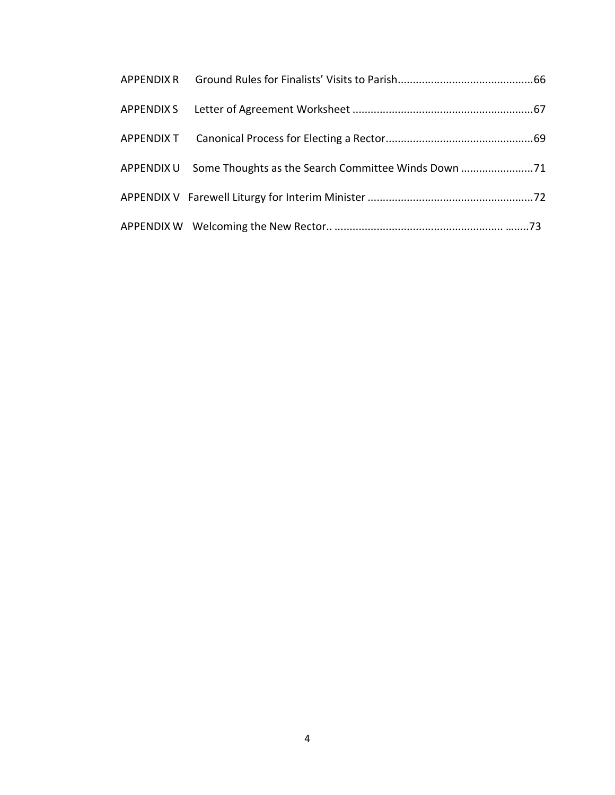| APPENDIX U Some Thoughts as the Search Committee Winds Down 71 |  |
|----------------------------------------------------------------|--|
|                                                                |  |
|                                                                |  |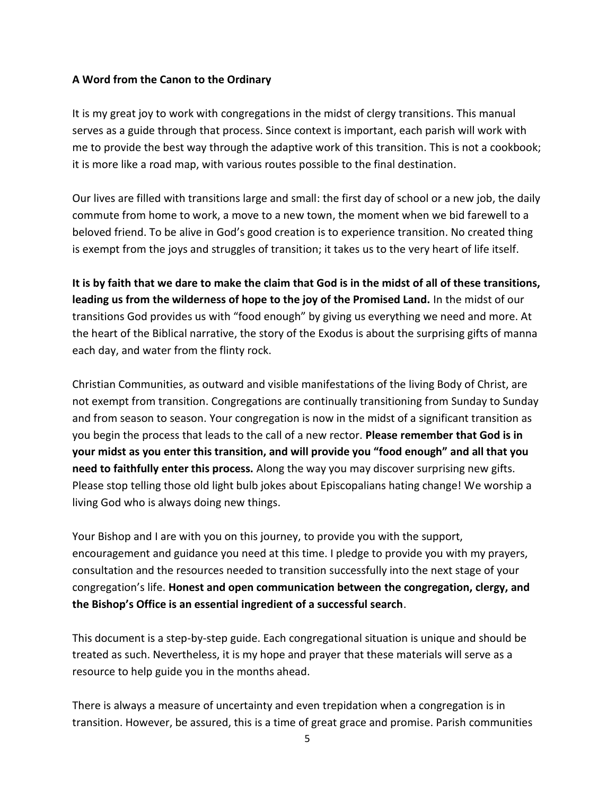#### **A Word from the Canon to the Ordinary**

It is my great joy to work with congregations in the midst of clergy transitions. This manual serves as a guide through that process. Since context is important, each parish will work with me to provide the best way through the adaptive work of this transition. This is not a cookbook; it is more like a road map, with various routes possible to the final destination.

Our lives are filled with transitions large and small: the first day of school or a new job, the daily commute from home to work, a move to a new town, the moment when we bid farewell to a beloved friend. To be alive in God's good creation is to experience transition. No created thing is exempt from the joys and struggles of transition; it takes us to the very heart of life itself.

**It is by faith that we dare to make the claim that God is in the midst of all of these transitions, leading us from the wilderness of hope to the joy of the Promised Land.** In the midst of our transitions God provides us with "food enough" by giving us everything we need and more. At the heart of the Biblical narrative, the story of the Exodus is about the surprising gifts of manna each day, and water from the flinty rock.

Christian Communities, as outward and visible manifestations of the living Body of Christ, are not exempt from transition. Congregations are continually transitioning from Sunday to Sunday and from season to season. Your congregation is now in the midst of a significant transition as you begin the process that leads to the call of a new rector. **Please remember that God is in your midst as you enter this transition, and will provide you "food enough" and all that you need to faithfully enter this process.** Along the way you may discover surprising new gifts. Please stop telling those old light bulb jokes about Episcopalians hating change! We worship a living God who is always doing new things.

Your Bishop and I are with you on this journey, to provide you with the support, encouragement and guidance you need at this time. I pledge to provide you with my prayers, consultation and the resources needed to transition successfully into the next stage of your congregation's life. **Honest and open communication between the congregation, clergy, and the Bishop's Office is an essential ingredient of a successful search**.

This document is a step-by-step guide. Each congregational situation is unique and should be treated as such. Nevertheless, it is my hope and prayer that these materials will serve as a resource to help guide you in the months ahead.

There is always a measure of uncertainty and even trepidation when a congregation is in transition. However, be assured, this is a time of great grace and promise. Parish communities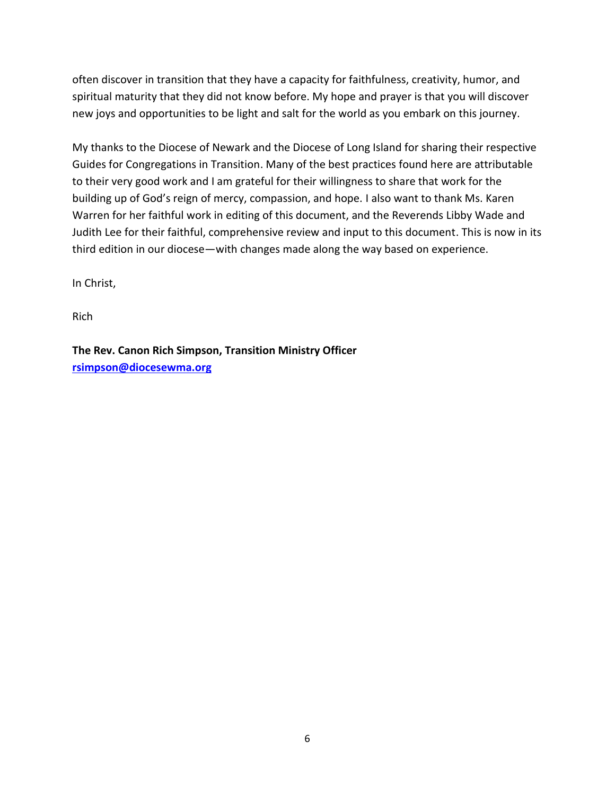often discover in transition that they have a capacity for faithfulness, creativity, humor, and spiritual maturity that they did not know before. My hope and prayer is that you will discover new joys and opportunities to be light and salt for the world as you embark on this journey.

My thanks to the Diocese of Newark and the Diocese of Long Island for sharing their respective Guides for Congregations in Transition. Many of the best practices found here are attributable to their very good work and I am grateful for their willingness to share that work for the building up of God's reign of mercy, compassion, and hope. I also want to thank Ms. Karen Warren for her faithful work in editing of this document, and the Reverends Libby Wade and Judith Lee for their faithful, comprehensive review and input to this document. This is now in its third edition in our diocese—with changes made along the way based on experience.

In Christ,

Rich

**The Rev. Canon Rich Simpson, Transition Ministry Officer rsimpson@diocesewma.org**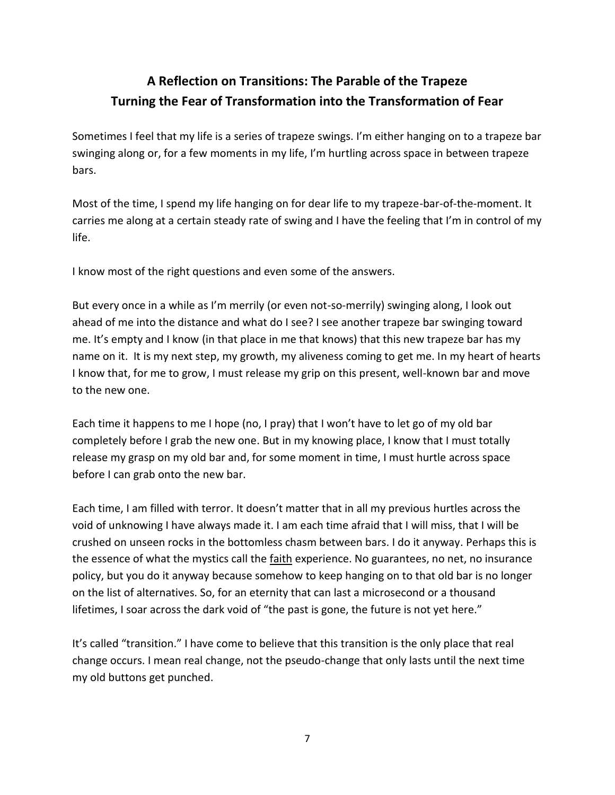# **A Reflection on Transitions: The Parable of the Trapeze Turning the Fear of Transformation into the Transformation of Fear**

Sometimes I feel that my life is a series of trapeze swings. I'm either hanging on to a trapeze bar swinging along or, for a few moments in my life, I'm hurtling across space in between trapeze bars.

Most of the time, I spend my life hanging on for dear life to my trapeze-bar-of-the-moment. It carries me along at a certain steady rate of swing and I have the feeling that I'm in control of my life.

I know most of the right questions and even some of the answers.

But every once in a while as I'm merrily (or even not-so-merrily) swinging along, I look out ahead of me into the distance and what do I see? I see another trapeze bar swinging toward me. It's empty and I know (in that place in me that knows) that this new trapeze bar has my name on it. It is my next step, my growth, my aliveness coming to get me. In my heart of hearts I know that, for me to grow, I must release my grip on this present, well-known bar and move to the new one.

Each time it happens to me I hope (no, I pray) that I won't have to let go of my old bar completely before I grab the new one. But in my knowing place, I know that I must totally release my grasp on my old bar and, for some moment in time, I must hurtle across space before I can grab onto the new bar.

Each time, I am filled with terror. It doesn't matter that in all my previous hurtles across the void of unknowing I have always made it. I am each time afraid that I will miss, that I will be crushed on unseen rocks in the bottomless chasm between bars. I do it anyway. Perhaps this is the essence of what the mystics call the faith experience. No guarantees, no net, no insurance policy, but you do it anyway because somehow to keep hanging on to that old bar is no longer on the list of alternatives. So, for an eternity that can last a microsecond or a thousand lifetimes, I soar across the dark void of "the past is gone, the future is not yet here."

It's called "transition." I have come to believe that this transition is the only place that real change occurs. I mean real change, not the pseudo-change that only lasts until the next time my old buttons get punched.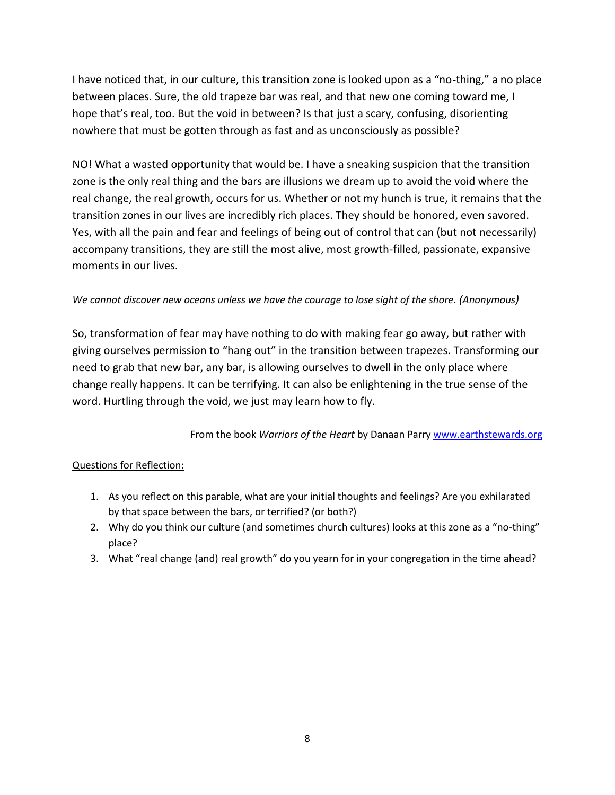I have noticed that, in our culture, this transition zone is looked upon as a "no-thing," a no place between places. Sure, the old trapeze bar was real, and that new one coming toward me, I hope that's real, too. But the void in between? Is that just a scary, confusing, disorienting nowhere that must be gotten through as fast and as unconsciously as possible?

NO! What a wasted opportunity that would be. I have a sneaking suspicion that the transition zone is the only real thing and the bars are illusions we dream up to avoid the void where the real change, the real growth, occurs for us. Whether or not my hunch is true, it remains that the transition zones in our lives are incredibly rich places. They should be honored, even savored. Yes, with all the pain and fear and feelings of being out of control that can (but not necessarily) accompany transitions, they are still the most alive, most growth-filled, passionate, expansive moments in our lives.

#### *We cannot discover new oceans unless we have the courage to lose sight of the shore. (Anonymous)*

So, transformation of fear may have nothing to do with making fear go away, but rather with giving ourselves permission to "hang out" in the transition between trapezes. Transforming our need to grab that new bar, any bar, is allowing ourselves to dwell in the only place where change really happens. It can be terrifying. It can also be enlightening in the true sense of the word. Hurtling through the void, we just may learn how to fly.

#### From the book *Warriors of the Heart* by Danaan Parry www.earthstewards.org

#### Questions for Reflection:

- 1. As you reflect on this parable, what are your initial thoughts and feelings? Are you exhilarated by that space between the bars, or terrified? (or both?)
- 2. Why do you think our culture (and sometimes church cultures) looks at this zone as a "no-thing" place?
- 3. What "real change (and) real growth" do you yearn for in your congregation in the time ahead?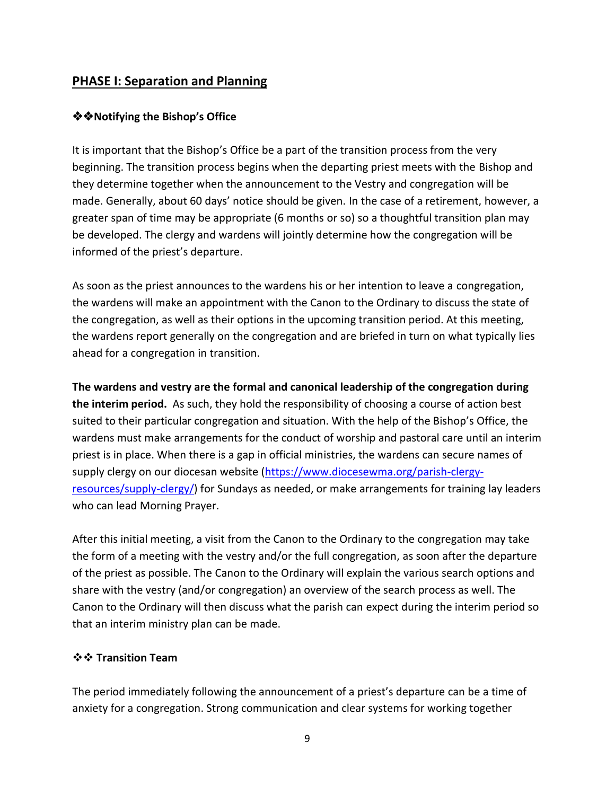## **PHASE I: Separation and Planning**

#### ❖❖**Notifying the Bishop's Office**

It is important that the Bishop's Office be a part of the transition process from the very beginning. The transition process begins when the departing priest meets with the Bishop and they determine together when the announcement to the Vestry and congregation will be made. Generally, about 60 days' notice should be given. In the case of a retirement, however, a greater span of time may be appropriate (6 months or so) so a thoughtful transition plan may be developed. The clergy and wardens will jointly determine how the congregation will be informed of the priest's departure.

As soon as the priest announces to the wardens his or her intention to leave a congregation, the wardens will make an appointment with the Canon to the Ordinary to discuss the state of the congregation, as well as their options in the upcoming transition period. At this meeting, the wardens report generally on the congregation and are briefed in turn on what typically lies ahead for a congregation in transition.

**The wardens and vestry are the formal and canonical leadership of the congregation during the interim period.** As such, they hold the responsibility of choosing a course of action best suited to their particular congregation and situation. With the help of the Bishop's Office, the wardens must make arrangements for the conduct of worship and pastoral care until an interim priest is in place. When there is a gap in official ministries, the wardens can secure names of supply clergy on our diocesan website (https://www.diocesewma.org/parish-clergyresources/supply-clergy/) for Sundays as needed, or make arrangements for training lay leaders who can lead Morning Prayer.

After this initial meeting, a visit from the Canon to the Ordinary to the congregation may take the form of a meeting with the vestry and/or the full congregation, as soon after the departure of the priest as possible. The Canon to the Ordinary will explain the various search options and share with the vestry (and/or congregation) an overview of the search process as well. The Canon to the Ordinary will then discuss what the parish can expect during the interim period so that an interim ministry plan can be made.

#### ❖❖ **Transition Team**

The period immediately following the announcement of a priest's departure can be a time of anxiety for a congregation. Strong communication and clear systems for working together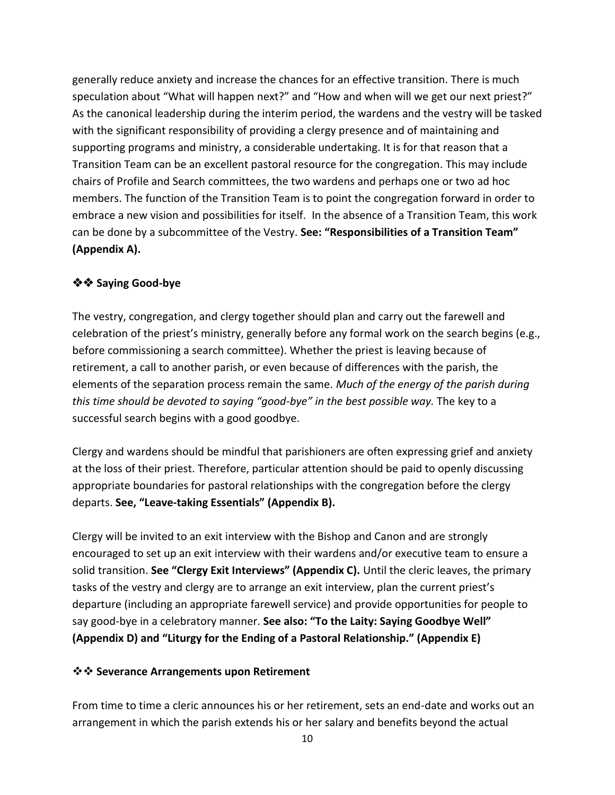generally reduce anxiety and increase the chances for an effective transition. There is much speculation about "What will happen next?" and "How and when will we get our next priest?" As the canonical leadership during the interim period, the wardens and the vestry will be tasked with the significant responsibility of providing a clergy presence and of maintaining and supporting programs and ministry, a considerable undertaking. It is for that reason that a Transition Team can be an excellent pastoral resource for the congregation. This may include chairs of Profile and Search committees, the two wardens and perhaps one or two ad hoc members. The function of the Transition Team is to point the congregation forward in order to embrace a new vision and possibilities for itself. In the absence of a Transition Team, this work can be done by a subcommittee of the Vestry. **See: "Responsibilities of a Transition Team" (Appendix A).**

#### ❖❖ **Saying Good-bye**

The vestry, congregation, and clergy together should plan and carry out the farewell and celebration of the priest's ministry, generally before any formal work on the search begins (e.g., before commissioning a search committee). Whether the priest is leaving because of retirement, a call to another parish, or even because of differences with the parish, the elements of the separation process remain the same. *Much of the energy of the parish during this time should be devoted to saying "good-bye" in the best possible way.* The key to a successful search begins with a good goodbye.

Clergy and wardens should be mindful that parishioners are often expressing grief and anxiety at the loss of their priest. Therefore, particular attention should be paid to openly discussing appropriate boundaries for pastoral relationships with the congregation before the clergy departs. **See, "Leave-taking Essentials" (Appendix B).**

Clergy will be invited to an exit interview with the Bishop and Canon and are strongly encouraged to set up an exit interview with their wardens and/or executive team to ensure a solid transition. **See "Clergy Exit Interviews" (Appendix C).** Until the cleric leaves, the primary tasks of the vestry and clergy are to arrange an exit interview, plan the current priest's departure (including an appropriate farewell service) and provide opportunities for people to say good-bye in a celebratory manner. **See also: "To the Laity: Saying Goodbye Well" (Appendix D) and "Liturgy for the Ending of a Pastoral Relationship." (Appendix E)**

#### ❖❖ **Severance Arrangements upon Retirement**

From time to time a cleric announces his or her retirement, sets an end-date and works out an arrangement in which the parish extends his or her salary and benefits beyond the actual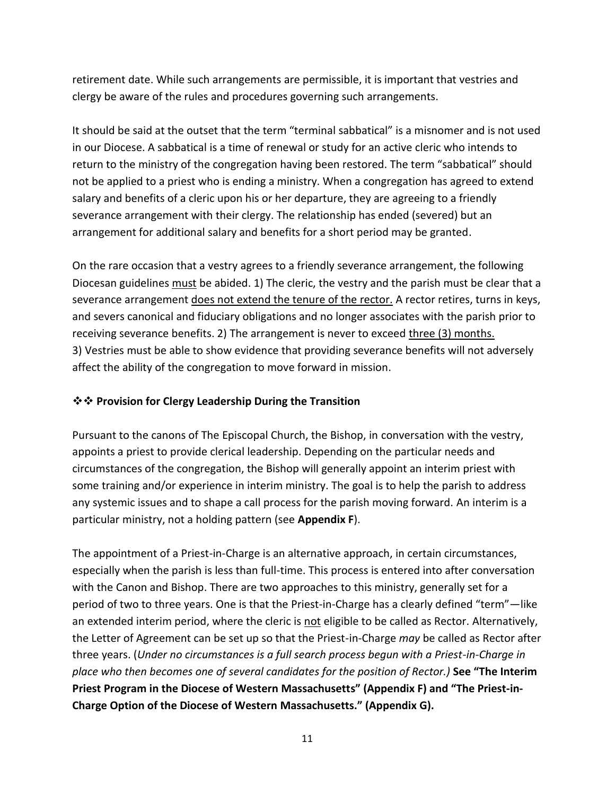retirement date. While such arrangements are permissible, it is important that vestries and clergy be aware of the rules and procedures governing such arrangements.

It should be said at the outset that the term "terminal sabbatical" is a misnomer and is not used in our Diocese. A sabbatical is a time of renewal or study for an active cleric who intends to return to the ministry of the congregation having been restored. The term "sabbatical" should not be applied to a priest who is ending a ministry. When a congregation has agreed to extend salary and benefits of a cleric upon his or her departure, they are agreeing to a friendly severance arrangement with their clergy. The relationship has ended (severed) but an arrangement for additional salary and benefits for a short period may be granted.

On the rare occasion that a vestry agrees to a friendly severance arrangement, the following Diocesan guidelines must be abided. 1) The cleric, the vestry and the parish must be clear that a severance arrangement does not extend the tenure of the rector. A rector retires, turns in keys, and severs canonical and fiduciary obligations and no longer associates with the parish prior to receiving severance benefits. 2) The arrangement is never to exceed three (3) months. 3) Vestries must be able to show evidence that providing severance benefits will not adversely affect the ability of the congregation to move forward in mission.

#### ❖❖ **Provision for Clergy Leadership During the Transition**

Pursuant to the canons of The Episcopal Church, the Bishop, in conversation with the vestry, appoints a priest to provide clerical leadership. Depending on the particular needs and circumstances of the congregation, the Bishop will generally appoint an interim priest with some training and/or experience in interim ministry. The goal is to help the parish to address any systemic issues and to shape a call process for the parish moving forward. An interim is a particular ministry, not a holding pattern (see **Appendix F**).

The appointment of a Priest-in-Charge is an alternative approach, in certain circumstances, especially when the parish is less than full-time. This process is entered into after conversation with the Canon and Bishop. There are two approaches to this ministry, generally set for a period of two to three years. One is that the Priest-in-Charge has a clearly defined "term"—like an extended interim period, where the cleric is not eligible to be called as Rector. Alternatively, the Letter of Agreement can be set up so that the Priest-in-Charge *may* be called as Rector after three years. (*Under no circumstances is a full search process begun with a Priest-in-Charge in place who then becomes one of several candidates for the position of Rector.)* **See "The Interim Priest Program in the Diocese of Western Massachusetts" (Appendix F) and "The Priest-in-Charge Option of the Diocese of Western Massachusetts." (Appendix G).**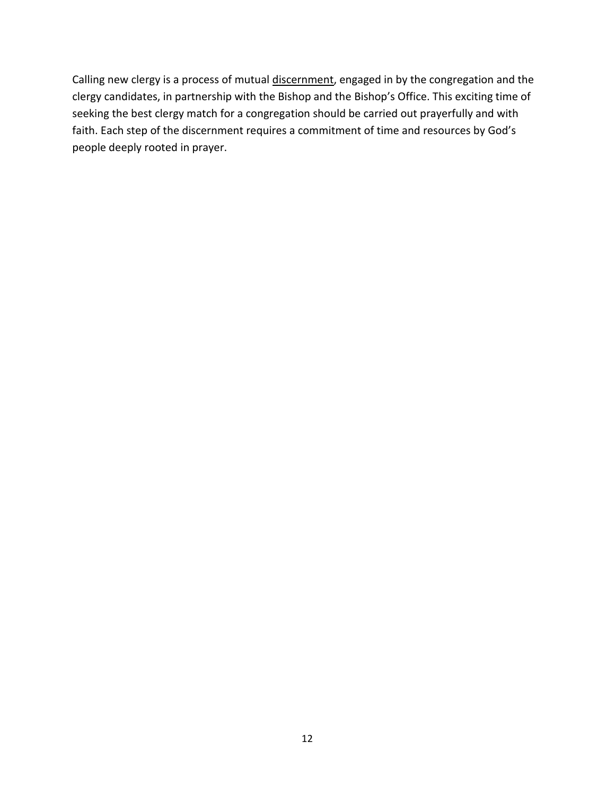Calling new clergy is a process of mutual discernment, engaged in by the congregation and the clergy candidates, in partnership with the Bishop and the Bishop's Office. This exciting time of seeking the best clergy match for a congregation should be carried out prayerfully and with faith. Each step of the discernment requires a commitment of time and resources by God's people deeply rooted in prayer.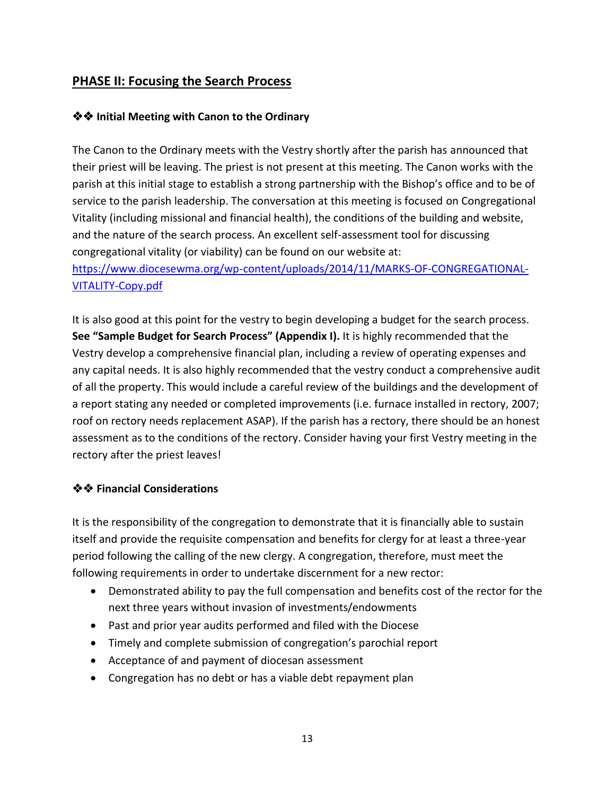## **PHASE II: Focusing the Search Process**

#### ❖❖ **Initial Meeting with Canon to the Ordinary**

The Canon to the Ordinary meets with the Vestry shortly after the parish has announced that their priest will be leaving. The priest is not present at this meeting. The Canon works with the parish at this initial stage to establish a strong partnership with the Bishop's office and to be of service to the parish leadership. The conversation at this meeting is focused on Congregational Vitality (including missional and financial health), the conditions of the building and website, and the nature of the search process. An excellent self-assessment tool for discussing congregational vitality (or viability) can be found on our website at: https://www.diocesewma.org/wp-content/uploads/2014/11/MARKS-OF-CONGREGATIONAL-VITALITY-Copy.pdf

It is also good at this point for the vestry to begin developing a budget for the search process. **See "Sample Budget for Search Process" (Appendix I).** It is highly recommended that the Vestry develop a comprehensive financial plan, including a review of operating expenses and any capital needs. It is also highly recommended that the vestry conduct a comprehensive audit of all the property. This would include a careful review of the buildings and the development of a report stating any needed or completed improvements (i.e. furnace installed in rectory, 2007; roof on rectory needs replacement ASAP). If the parish has a rectory, there should be an honest assessment as to the conditions of the rectory. Consider having your first Vestry meeting in the rectory after the priest leaves!

#### ❖❖ **Financial Considerations**

It is the responsibility of the congregation to demonstrate that it is financially able to sustain itself and provide the requisite compensation and benefits for clergy for at least a three-year period following the calling of the new clergy. A congregation, therefore, must meet the following requirements in order to undertake discernment for a new rector:

- Demonstrated ability to pay the full compensation and benefits cost of the rector for the next three years without invasion of investments/endowments
- Past and prior year audits performed and filed with the Diocese
- Timely and complete submission of congregation's parochial report
- Acceptance of and payment of diocesan assessment
- Congregation has no debt or has a viable debt repayment plan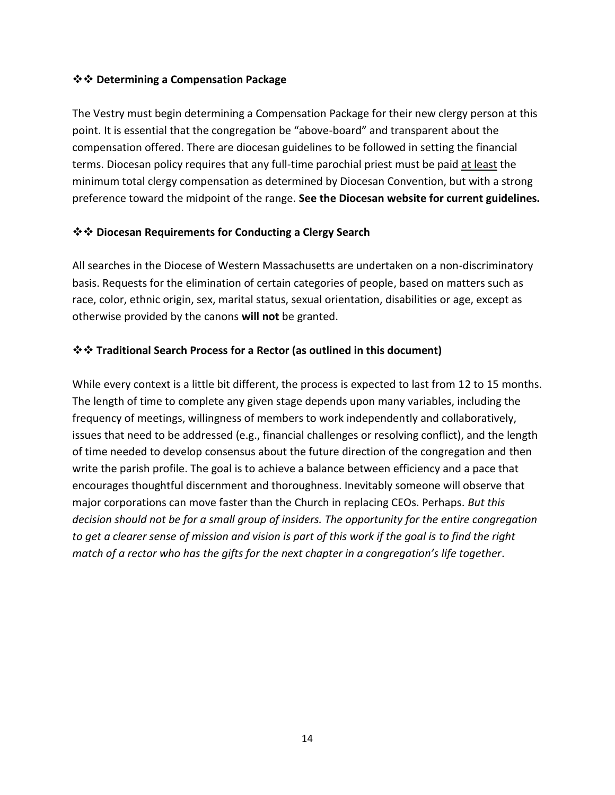#### ❖❖ **Determining a Compensation Package**

The Vestry must begin determining a Compensation Package for their new clergy person at this point. It is essential that the congregation be "above-board" and transparent about the compensation offered. There are diocesan guidelines to be followed in setting the financial terms. Diocesan policy requires that any full-time parochial priest must be paid at least the minimum total clergy compensation as determined by Diocesan Convention, but with a strong preference toward the midpoint of the range. **See the Diocesan website for current guidelines.**

#### ❖❖ **Diocesan Requirements for Conducting a Clergy Search**

All searches in the Diocese of Western Massachusetts are undertaken on a non-discriminatory basis. Requests for the elimination of certain categories of people, based on matters such as race, color, ethnic origin, sex, marital status, sexual orientation, disabilities or age, except as otherwise provided by the canons **will not** be granted.

#### ❖❖ **Traditional Search Process for a Rector (as outlined in this document)**

While every context is a little bit different, the process is expected to last from 12 to 15 months. The length of time to complete any given stage depends upon many variables, including the frequency of meetings, willingness of members to work independently and collaboratively, issues that need to be addressed (e.g., financial challenges or resolving conflict), and the length of time needed to develop consensus about the future direction of the congregation and then write the parish profile. The goal is to achieve a balance between efficiency and a pace that encourages thoughtful discernment and thoroughness. Inevitably someone will observe that major corporations can move faster than the Church in replacing CEOs. Perhaps. *But this decision should not be for a small group of insiders. The opportunity for the entire congregation to get a clearer sense of mission and vision is part of this work if the goal is to find the right match of a rector who has the gifts for the next chapter in a congregation's life together*.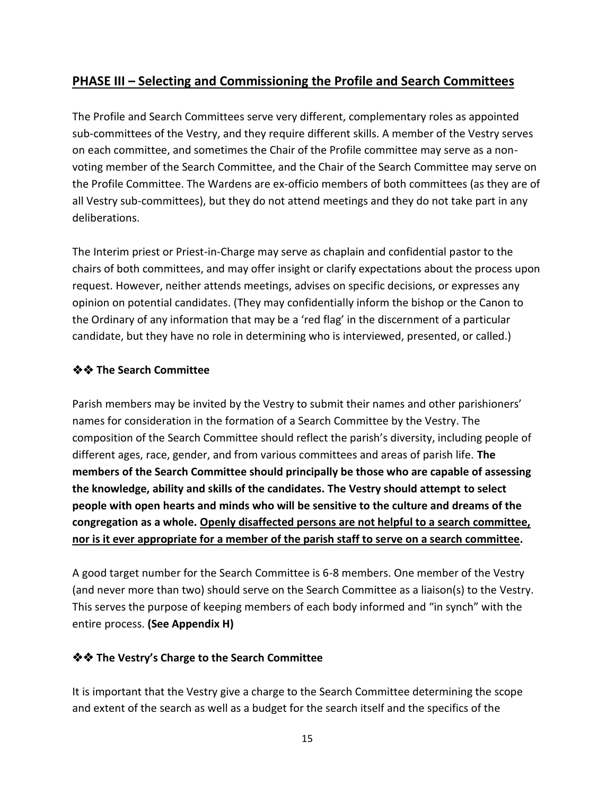# **PHASE III – Selecting and Commissioning the Profile and Search Committees**

The Profile and Search Committees serve very different, complementary roles as appointed sub-committees of the Vestry, and they require different skills. A member of the Vestry serves on each committee, and sometimes the Chair of the Profile committee may serve as a nonvoting member of the Search Committee, and the Chair of the Search Committee may serve on the Profile Committee. The Wardens are ex-officio members of both committees (as they are of all Vestry sub-committees), but they do not attend meetings and they do not take part in any deliberations.

The Interim priest or Priest-in-Charge may serve as chaplain and confidential pastor to the chairs of both committees, and may offer insight or clarify expectations about the process upon request. However, neither attends meetings, advises on specific decisions, or expresses any opinion on potential candidates. (They may confidentially inform the bishop or the Canon to the Ordinary of any information that may be a 'red flag' in the discernment of a particular candidate, but they have no role in determining who is interviewed, presented, or called.)

#### ❖❖ **The Search Committee**

Parish members may be invited by the Vestry to submit their names and other parishioners' names for consideration in the formation of a Search Committee by the Vestry. The composition of the Search Committee should reflect the parish's diversity, including people of different ages, race, gender, and from various committees and areas of parish life. **The members of the Search Committee should principally be those who are capable of assessing the knowledge, ability and skills of the candidates. The Vestry should attempt to select people with open hearts and minds who will be sensitive to the culture and dreams of the congregation as a whole. Openly disaffected persons are not helpful to a search committee, nor is it ever appropriate for a member of the parish staff to serve on a search committee.**

A good target number for the Search Committee is 6-8 members. One member of the Vestry (and never more than two) should serve on the Search Committee as a liaison(s) to the Vestry. This serves the purpose of keeping members of each body informed and "in synch" with the entire process. **(See Appendix H)**

#### ❖❖ **The Vestry's Charge to the Search Committee**

It is important that the Vestry give a charge to the Search Committee determining the scope and extent of the search as well as a budget for the search itself and the specifics of the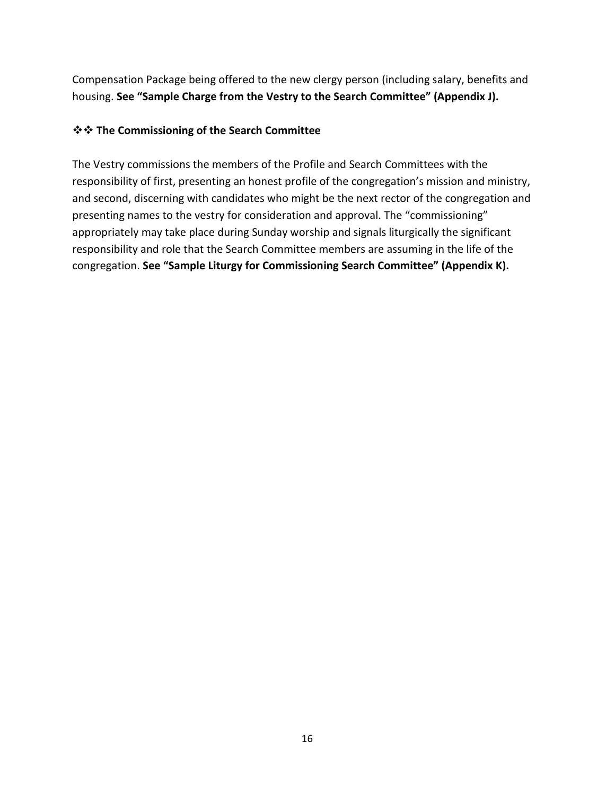Compensation Package being offered to the new clergy person (including salary, benefits and housing. **See "Sample Charge from the Vestry to the Search Committee" (Appendix J).**

#### ❖❖ **The Commissioning of the Search Committee**

The Vestry commissions the members of the Profile and Search Committees with the responsibility of first, presenting an honest profile of the congregation's mission and ministry, and second, discerning with candidates who might be the next rector of the congregation and presenting names to the vestry for consideration and approval. The "commissioning" appropriately may take place during Sunday worship and signals liturgically the significant responsibility and role that the Search Committee members are assuming in the life of the congregation. **See "Sample Liturgy for Commissioning Search Committee" (Appendix K).**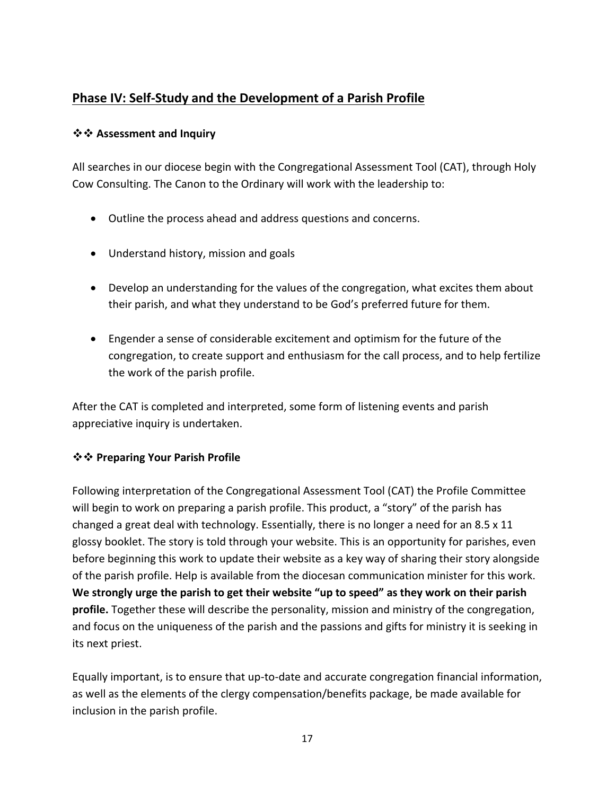# **Phase IV: Self-Study and the Development of a Parish Profile**

#### ❖❖ **Assessment and Inquiry**

All searches in our diocese begin with the Congregational Assessment Tool (CAT), through Holy Cow Consulting. The Canon to the Ordinary will work with the leadership to:

- Outline the process ahead and address questions and concerns.
- Understand history, mission and goals
- Develop an understanding for the values of the congregation, what excites them about their parish, and what they understand to be God's preferred future for them.
- Engender a sense of considerable excitement and optimism for the future of the congregation, to create support and enthusiasm for the call process, and to help fertilize the work of the parish profile.

After the CAT is completed and interpreted, some form of listening events and parish appreciative inquiry is undertaken.

#### ❖❖ **Preparing Your Parish Profile**

Following interpretation of the Congregational Assessment Tool (CAT) the Profile Committee will begin to work on preparing a parish profile. This product, a "story" of the parish has changed a great deal with technology. Essentially, there is no longer a need for an 8.5 x 11 glossy booklet. The story is told through your website. This is an opportunity for parishes, even before beginning this work to update their website as a key way of sharing their story alongside of the parish profile. Help is available from the diocesan communication minister for this work. **We strongly urge the parish to get their website "up to speed" as they work on their parish profile.** Together these will describe the personality, mission and ministry of the congregation, and focus on the uniqueness of the parish and the passions and gifts for ministry it is seeking in its next priest.

Equally important, is to ensure that up-to-date and accurate congregation financial information, as well as the elements of the clergy compensation/benefits package, be made available for inclusion in the parish profile.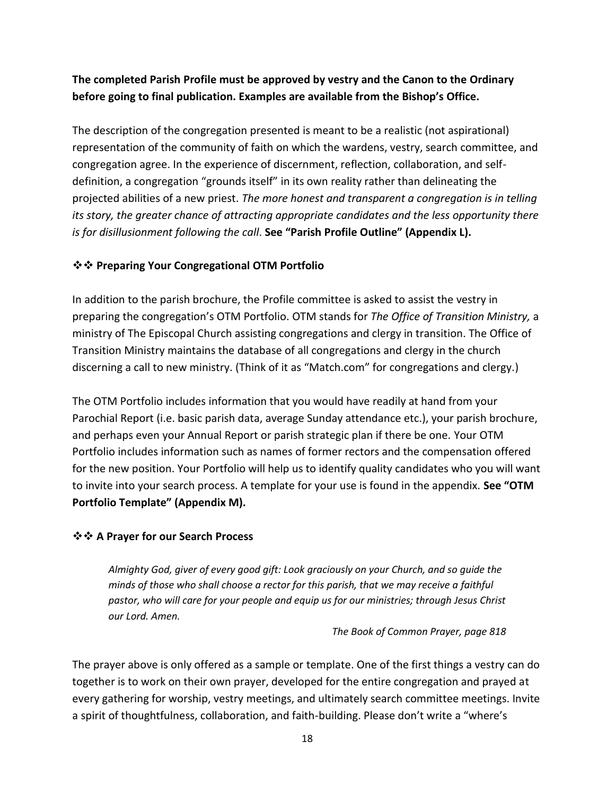# **The completed Parish Profile must be approved by vestry and the Canon to the Ordinary before going to final publication. Examples are available from the Bishop's Office.**

The description of the congregation presented is meant to be a realistic (not aspirational) representation of the community of faith on which the wardens, vestry, search committee, and congregation agree. In the experience of discernment, reflection, collaboration, and selfdefinition, a congregation "grounds itself" in its own reality rather than delineating the projected abilities of a new priest. *The more honest and transparent a congregation is in telling its story, the greater chance of attracting appropriate candidates and the less opportunity there is for disillusionment following the call*. **See "Parish Profile Outline" (Appendix L).**

#### ❖❖ **Preparing Your Congregational OTM Portfolio**

In addition to the parish brochure, the Profile committee is asked to assist the vestry in preparing the congregation's OTM Portfolio. OTM stands for *The Office of Transition Ministry,* a ministry of The Episcopal Church assisting congregations and clergy in transition. The Office of Transition Ministry maintains the database of all congregations and clergy in the church discerning a call to new ministry. (Think of it as "Match.com" for congregations and clergy.)

The OTM Portfolio includes information that you would have readily at hand from your Parochial Report (i.e. basic parish data, average Sunday attendance etc.), your parish brochure, and perhaps even your Annual Report or parish strategic plan if there be one. Your OTM Portfolio includes information such as names of former rectors and the compensation offered for the new position. Your Portfolio will help us to identify quality candidates who you will want to invite into your search process. A template for your use is found in the appendix. **See "OTM Portfolio Template" (Appendix M).**

#### ❖❖ **A Prayer for our Search Process**

*Almighty God, giver of every good gift: Look graciously on your Church, and so guide the minds of those who shall choose a rector for this parish, that we may receive a faithful pastor, who will care for your people and equip us for our ministries; through Jesus Christ our Lord. Amen.*

*The Book of Common Prayer, page 818*

The prayer above is only offered as a sample or template. One of the first things a vestry can do together is to work on their own prayer, developed for the entire congregation and prayed at every gathering for worship, vestry meetings, and ultimately search committee meetings. Invite a spirit of thoughtfulness, collaboration, and faith-building. Please don't write a "where's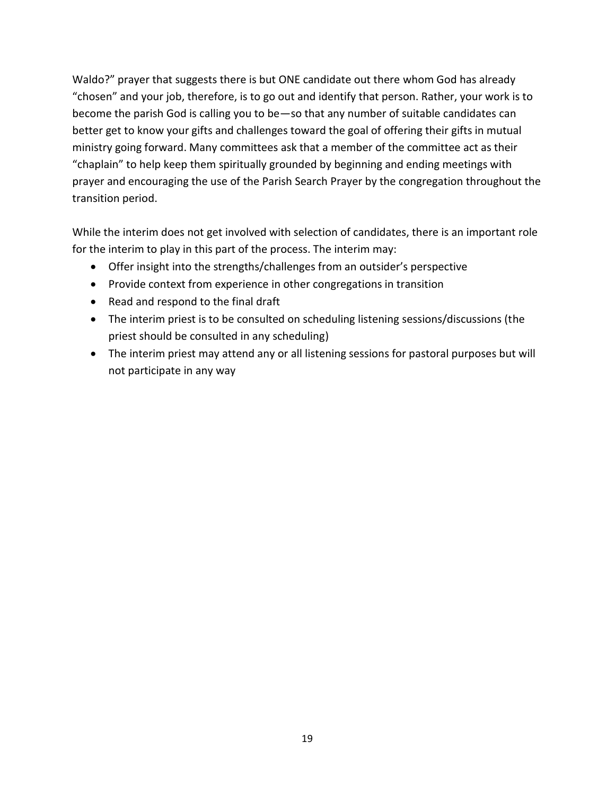Waldo?" prayer that suggests there is but ONE candidate out there whom God has already "chosen" and your job, therefore, is to go out and identify that person. Rather, your work is to become the parish God is calling you to be—so that any number of suitable candidates can better get to know your gifts and challenges toward the goal of offering their gifts in mutual ministry going forward. Many committees ask that a member of the committee act as their "chaplain" to help keep them spiritually grounded by beginning and ending meetings with prayer and encouraging the use of the Parish Search Prayer by the congregation throughout the transition period.

While the interim does not get involved with selection of candidates, there is an important role for the interim to play in this part of the process. The interim may:

- Offer insight into the strengths/challenges from an outsider's perspective
- Provide context from experience in other congregations in transition
- Read and respond to the final draft
- The interim priest is to be consulted on scheduling listening sessions/discussions (the priest should be consulted in any scheduling)
- The interim priest may attend any or all listening sessions for pastoral purposes but will not participate in any way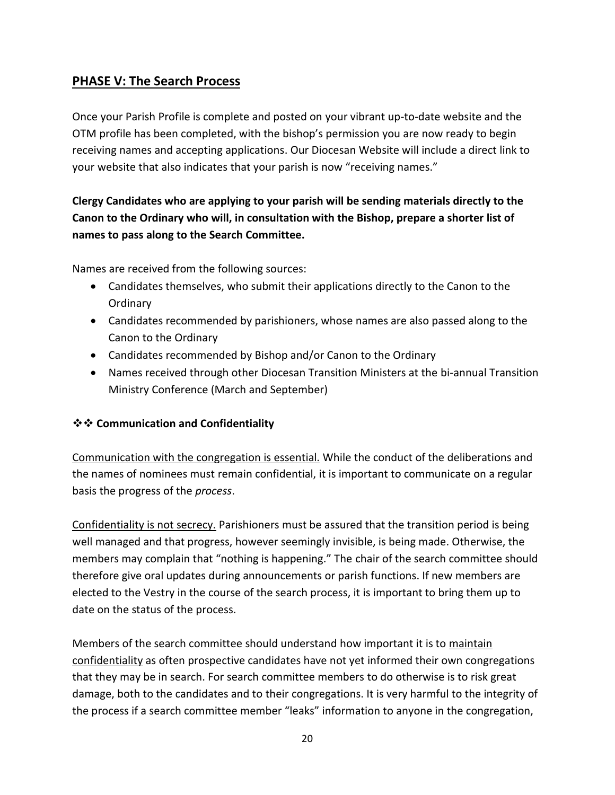# **PHASE V: The Search Process**

Once your Parish Profile is complete and posted on your vibrant up-to-date website and the OTM profile has been completed, with the bishop's permission you are now ready to begin receiving names and accepting applications. Our Diocesan Website will include a direct link to your website that also indicates that your parish is now "receiving names."

# **Clergy Candidates who are applying to your parish will be sending materials directly to the Canon to the Ordinary who will, in consultation with the Bishop, prepare a shorter list of names to pass along to the Search Committee.**

Names are received from the following sources:

- Candidates themselves, who submit their applications directly to the Canon to the **Ordinary**
- Candidates recommended by parishioners, whose names are also passed along to the Canon to the Ordinary
- Candidates recommended by Bishop and/or Canon to the Ordinary
- Names received through other Diocesan Transition Ministers at the bi-annual Transition Ministry Conference (March and September)

#### ❖❖ **Communication and Confidentiality**

Communication with the congregation is essential. While the conduct of the deliberations and the names of nominees must remain confidential, it is important to communicate on a regular basis the progress of the *process*.

Confidentiality is not secrecy. Parishioners must be assured that the transition period is being well managed and that progress, however seemingly invisible, is being made. Otherwise, the members may complain that "nothing is happening." The chair of the search committee should therefore give oral updates during announcements or parish functions. If new members are elected to the Vestry in the course of the search process, it is important to bring them up to date on the status of the process.

Members of the search committee should understand how important it is to maintain confidentiality as often prospective candidates have not yet informed their own congregations that they may be in search. For search committee members to do otherwise is to risk great damage, both to the candidates and to their congregations. It is very harmful to the integrity of the process if a search committee member "leaks" information to anyone in the congregation,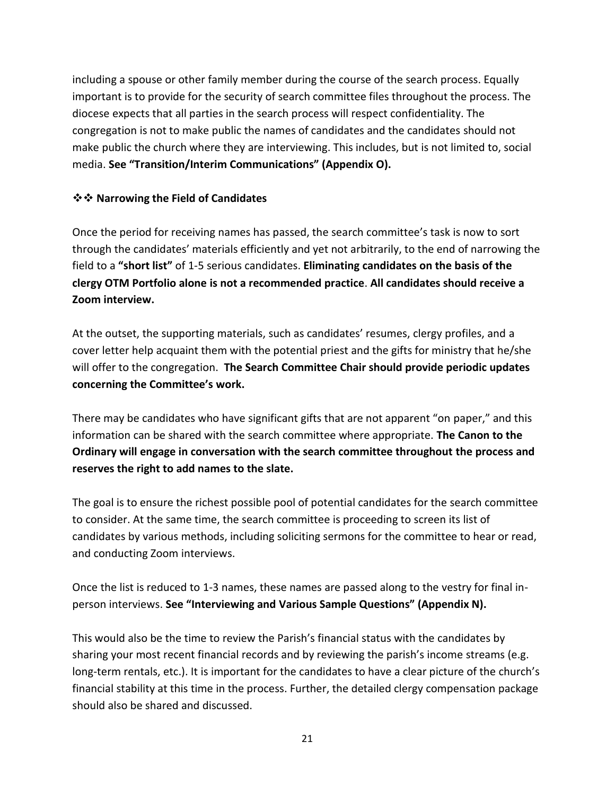including a spouse or other family member during the course of the search process. Equally important is to provide for the security of search committee files throughout the process. The diocese expects that all parties in the search process will respect confidentiality. The congregation is not to make public the names of candidates and the candidates should not make public the church where they are interviewing. This includes, but is not limited to, social media. **See "Transition/Interim Communications" (Appendix O).**

#### ❖❖ **Narrowing the Field of Candidates**

Once the period for receiving names has passed, the search committee's task is now to sort through the candidates' materials efficiently and yet not arbitrarily, to the end of narrowing the field to a **"short list"** of 1-5 serious candidates. **Eliminating candidates on the basis of the clergy OTM Portfolio alone is not a recommended practice**. **All candidates should receive a Zoom interview.**

At the outset, the supporting materials, such as candidates' resumes, clergy profiles, and a cover letter help acquaint them with the potential priest and the gifts for ministry that he/she will offer to the congregation. **The Search Committee Chair should provide periodic updates concerning the Committee's work.**

There may be candidates who have significant gifts that are not apparent "on paper," and this information can be shared with the search committee where appropriate. **The Canon to the Ordinary will engage in conversation with the search committee throughout the process and reserves the right to add names to the slate.**

The goal is to ensure the richest possible pool of potential candidates for the search committee to consider. At the same time, the search committee is proceeding to screen its list of candidates by various methods, including soliciting sermons for the committee to hear or read, and conducting Zoom interviews.

Once the list is reduced to 1-3 names, these names are passed along to the vestry for final inperson interviews. **See "Interviewing and Various Sample Questions" (Appendix N).**

This would also be the time to review the Parish's financial status with the candidates by sharing your most recent financial records and by reviewing the parish's income streams (e.g. long-term rentals, etc.). It is important for the candidates to have a clear picture of the church's financial stability at this time in the process. Further, the detailed clergy compensation package should also be shared and discussed.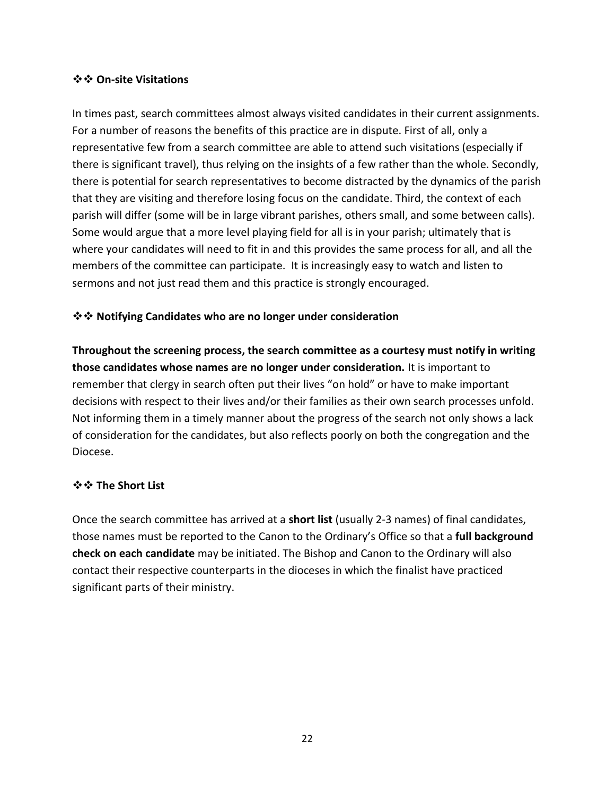#### ❖❖ **On-site Visitations**

In times past, search committees almost always visited candidates in their current assignments. For a number of reasons the benefits of this practice are in dispute. First of all, only a representative few from a search committee are able to attend such visitations (especially if there is significant travel), thus relying on the insights of a few rather than the whole. Secondly, there is potential for search representatives to become distracted by the dynamics of the parish that they are visiting and therefore losing focus on the candidate. Third, the context of each parish will differ (some will be in large vibrant parishes, others small, and some between calls). Some would argue that a more level playing field for all is in your parish; ultimately that is where your candidates will need to fit in and this provides the same process for all, and all the members of the committee can participate. It is increasingly easy to watch and listen to sermons and not just read them and this practice is strongly encouraged.

#### ❖❖ **Notifying Candidates who are no longer under consideration**

**Throughout the screening process, the search committee as a courtesy must notify in writing those candidates whose names are no longer under consideration.** It is important to remember that clergy in search often put their lives "on hold" or have to make important decisions with respect to their lives and/or their families as their own search processes unfold. Not informing them in a timely manner about the progress of the search not only shows a lack of consideration for the candidates, but also reflects poorly on both the congregation and the Diocese.

#### ❖❖ **The Short List**

Once the search committee has arrived at a **short list** (usually 2-3 names) of final candidates, those names must be reported to the Canon to the Ordinary's Office so that a **full background check on each candidate** may be initiated. The Bishop and Canon to the Ordinary will also contact their respective counterparts in the dioceses in which the finalist have practiced significant parts of their ministry.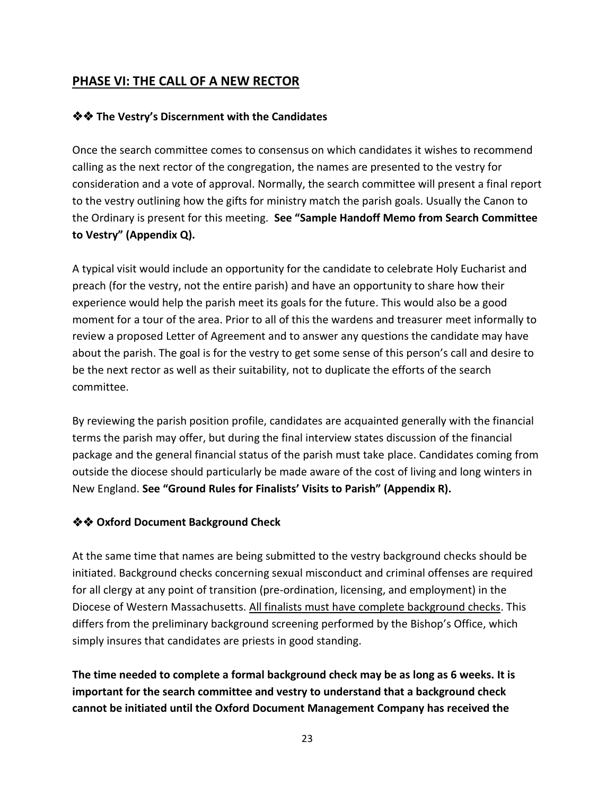# **PHASE VI: THE CALL OF A NEW RECTOR**

#### ❖❖ **The Vestry's Discernment with the Candidates**

Once the search committee comes to consensus on which candidates it wishes to recommend calling as the next rector of the congregation, the names are presented to the vestry for consideration and a vote of approval. Normally, the search committee will present a final report to the vestry outlining how the gifts for ministry match the parish goals. Usually the Canon to the Ordinary is present for this meeting. **See "Sample Handoff Memo from Search Committee to Vestry" (Appendix Q).**

A typical visit would include an opportunity for the candidate to celebrate Holy Eucharist and preach (for the vestry, not the entire parish) and have an opportunity to share how their experience would help the parish meet its goals for the future. This would also be a good moment for a tour of the area. Prior to all of this the wardens and treasurer meet informally to review a proposed Letter of Agreement and to answer any questions the candidate may have about the parish. The goal is for the vestry to get some sense of this person's call and desire to be the next rector as well as their suitability, not to duplicate the efforts of the search committee.

By reviewing the parish position profile, candidates are acquainted generally with the financial terms the parish may offer, but during the final interview states discussion of the financial package and the general financial status of the parish must take place. Candidates coming from outside the diocese should particularly be made aware of the cost of living and long winters in New England. **See "Ground Rules for Finalists' Visits to Parish" (Appendix R).**

#### ❖❖ **Oxford Document Background Check**

At the same time that names are being submitted to the vestry background checks should be initiated. Background checks concerning sexual misconduct and criminal offenses are required for all clergy at any point of transition (pre-ordination, licensing, and employment) in the Diocese of Western Massachusetts. All finalists must have complete background checks. This differs from the preliminary background screening performed by the Bishop's Office, which simply insures that candidates are priests in good standing.

**The time needed to complete a formal background check may be as long as 6 weeks. It is important for the search committee and vestry to understand that a background check cannot be initiated until the Oxford Document Management Company has received the** 

23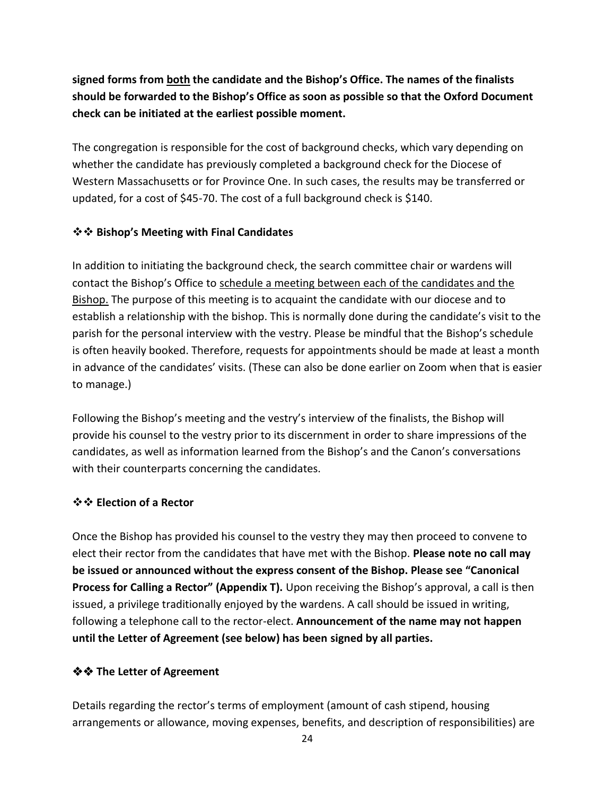**signed forms from both the candidate and the Bishop's Office. The names of the finalists should be forwarded to the Bishop's Office as soon as possible so that the Oxford Document check can be initiated at the earliest possible moment.**

The congregation is responsible for the cost of background checks, which vary depending on whether the candidate has previously completed a background check for the Diocese of Western Massachusetts or for Province One. In such cases, the results may be transferred or updated, for a cost of \$45-70. The cost of a full background check is \$140.

#### ❖❖ **Bishop's Meeting with Final Candidates**

In addition to initiating the background check, the search committee chair or wardens will contact the Bishop's Office to schedule a meeting between each of the candidates and the Bishop. The purpose of this meeting is to acquaint the candidate with our diocese and to establish a relationship with the bishop. This is normally done during the candidate's visit to the parish for the personal interview with the vestry. Please be mindful that the Bishop's schedule is often heavily booked. Therefore, requests for appointments should be made at least a month in advance of the candidates' visits. (These can also be done earlier on Zoom when that is easier to manage.)

Following the Bishop's meeting and the vestry's interview of the finalists, the Bishop will provide his counsel to the vestry prior to its discernment in order to share impressions of the candidates, as well as information learned from the Bishop's and the Canon's conversations with their counterparts concerning the candidates.

#### ❖❖ **Election of a Rector**

Once the Bishop has provided his counsel to the vestry they may then proceed to convene to elect their rector from the candidates that have met with the Bishop. **Please note no call may be issued or announced without the express consent of the Bishop. Please see "Canonical Process for Calling a Rector" (Appendix T).** Upon receiving the Bishop's approval, a call is then issued, a privilege traditionally enjoyed by the wardens. A call should be issued in writing, following a telephone call to the rector-elect. **Announcement of the name may not happen until the Letter of Agreement (see below) has been signed by all parties.**

#### ❖❖ **The Letter of Agreement**

Details regarding the rector's terms of employment (amount of cash stipend, housing arrangements or allowance, moving expenses, benefits, and description of responsibilities) are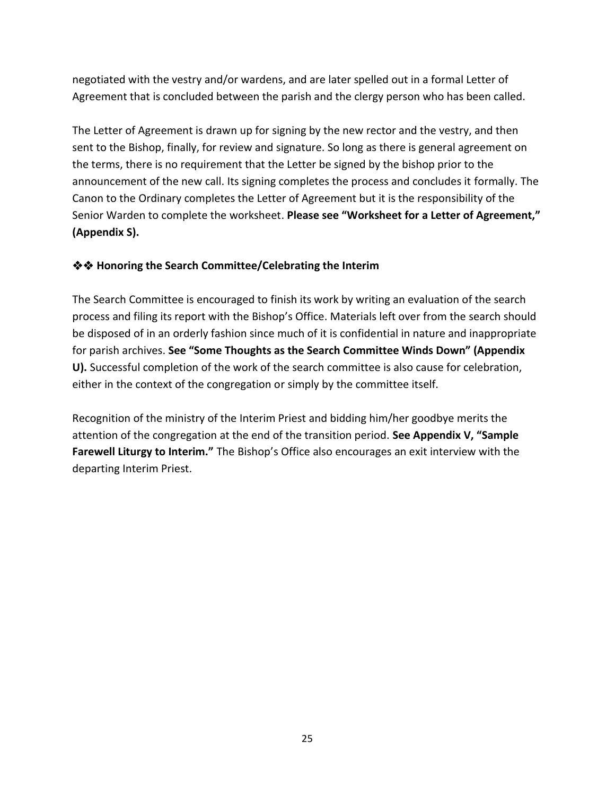negotiated with the vestry and/or wardens, and are later spelled out in a formal Letter of Agreement that is concluded between the parish and the clergy person who has been called.

The Letter of Agreement is drawn up for signing by the new rector and the vestry, and then sent to the Bishop, finally, for review and signature. So long as there is general agreement on the terms, there is no requirement that the Letter be signed by the bishop prior to the announcement of the new call. Its signing completes the process and concludes it formally. The Canon to the Ordinary completes the Letter of Agreement but it is the responsibility of the Senior Warden to complete the worksheet. **Please see "Worksheet for a Letter of Agreement," (Appendix S).**

#### ❖❖ **Honoring the Search Committee/Celebrating the Interim**

The Search Committee is encouraged to finish its work by writing an evaluation of the search process and filing its report with the Bishop's Office. Materials left over from the search should be disposed of in an orderly fashion since much of it is confidential in nature and inappropriate for parish archives. **See "Some Thoughts as the Search Committee Winds Down" (Appendix U).** Successful completion of the work of the search committee is also cause for celebration, either in the context of the congregation or simply by the committee itself.

Recognition of the ministry of the Interim Priest and bidding him/her goodbye merits the attention of the congregation at the end of the transition period. **See Appendix V, "Sample Farewell Liturgy to Interim."** The Bishop's Office also encourages an exit interview with the departing Interim Priest.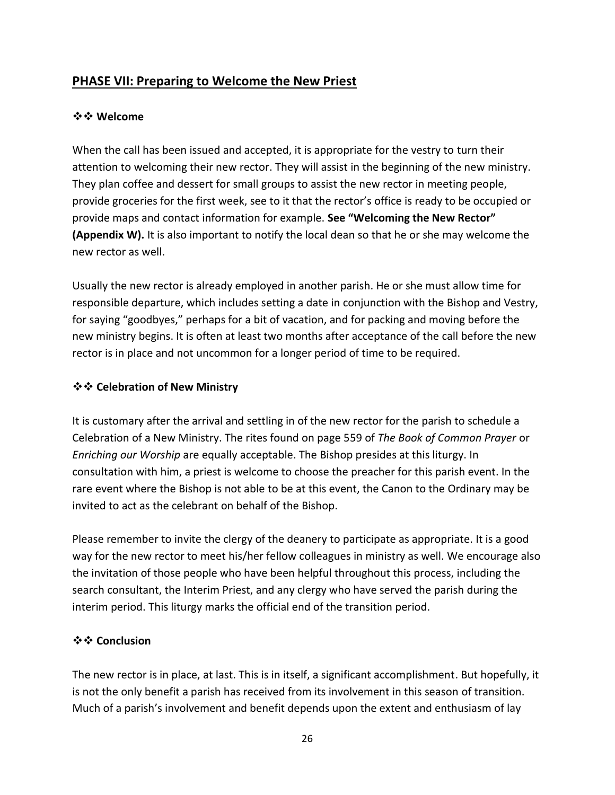# **PHASE VII: Preparing to Welcome the New Priest**

#### ❖❖ **Welcome**

When the call has been issued and accepted, it is appropriate for the vestry to turn their attention to welcoming their new rector. They will assist in the beginning of the new ministry. They plan coffee and dessert for small groups to assist the new rector in meeting people, provide groceries for the first week, see to it that the rector's office is ready to be occupied or provide maps and contact information for example. **See "Welcoming the New Rector" (Appendix W).** It is also important to notify the local dean so that he or she may welcome the new rector as well.

Usually the new rector is already employed in another parish. He or she must allow time for responsible departure, which includes setting a date in conjunction with the Bishop and Vestry, for saying "goodbyes," perhaps for a bit of vacation, and for packing and moving before the new ministry begins. It is often at least two months after acceptance of the call before the new rector is in place and not uncommon for a longer period of time to be required.

#### ❖❖ **Celebration of New Ministry**

It is customary after the arrival and settling in of the new rector for the parish to schedule a Celebration of a New Ministry. The rites found on page 559 of *The Book of Common Prayer* or *Enriching our Worship* are equally acceptable. The Bishop presides at this liturgy. In consultation with him, a priest is welcome to choose the preacher for this parish event. In the rare event where the Bishop is not able to be at this event, the Canon to the Ordinary may be invited to act as the celebrant on behalf of the Bishop.

Please remember to invite the clergy of the deanery to participate as appropriate. It is a good way for the new rector to meet his/her fellow colleagues in ministry as well. We encourage also the invitation of those people who have been helpful throughout this process, including the search consultant, the Interim Priest, and any clergy who have served the parish during the interim period. This liturgy marks the official end of the transition period.

#### ❖❖ **Conclusion**

The new rector is in place, at last. This is in itself, a significant accomplishment. But hopefully, it is not the only benefit a parish has received from its involvement in this season of transition. Much of a parish's involvement and benefit depends upon the extent and enthusiasm of lay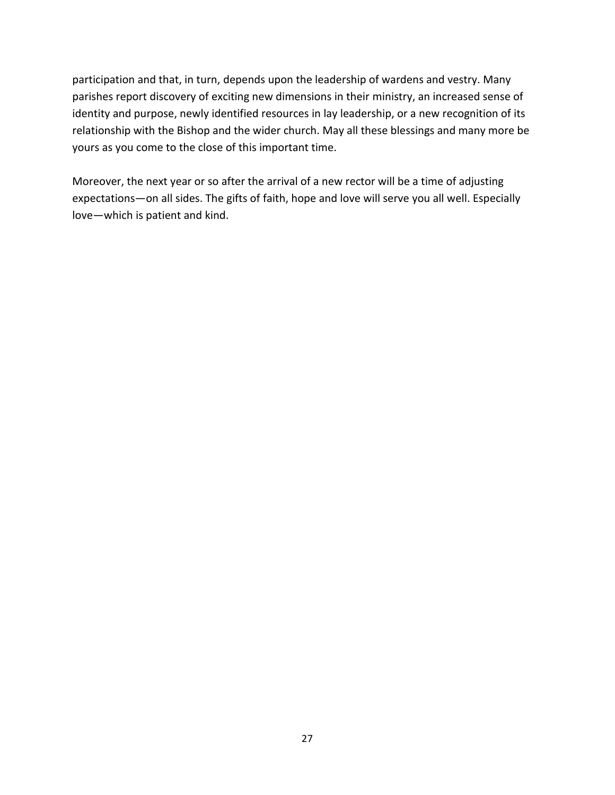participation and that, in turn, depends upon the leadership of wardens and vestry. Many parishes report discovery of exciting new dimensions in their ministry, an increased sense of identity and purpose, newly identified resources in lay leadership, or a new recognition of its relationship with the Bishop and the wider church. May all these blessings and many more be yours as you come to the close of this important time.

Moreover, the next year or so after the arrival of a new rector will be a time of adjusting expectations—on all sides. The gifts of faith, hope and love will serve you all well. Especially love—which is patient and kind.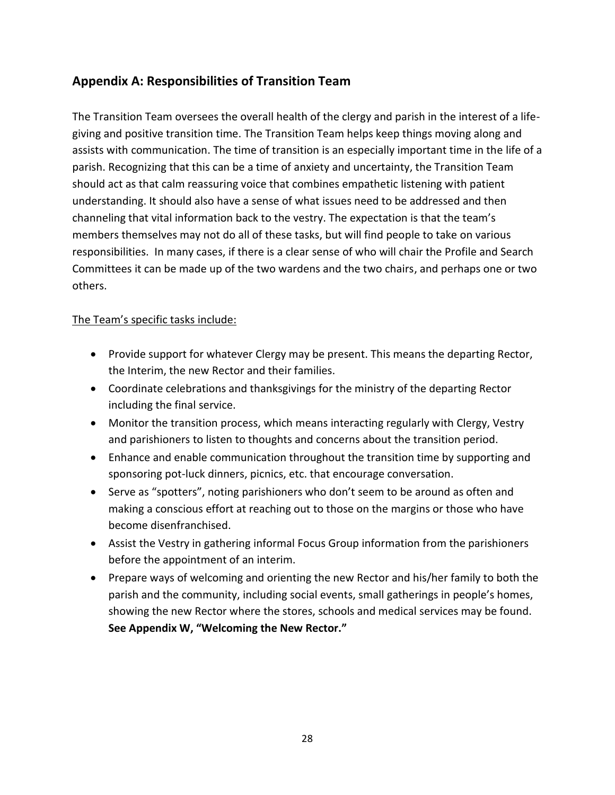# **Appendix A: Responsibilities of Transition Team**

The Transition Team oversees the overall health of the clergy and parish in the interest of a lifegiving and positive transition time. The Transition Team helps keep things moving along and assists with communication. The time of transition is an especially important time in the life of a parish. Recognizing that this can be a time of anxiety and uncertainty, the Transition Team should act as that calm reassuring voice that combines empathetic listening with patient understanding. It should also have a sense of what issues need to be addressed and then channeling that vital information back to the vestry. The expectation is that the team's members themselves may not do all of these tasks, but will find people to take on various responsibilities. In many cases, if there is a clear sense of who will chair the Profile and Search Committees it can be made up of the two wardens and the two chairs, and perhaps one or two others.

#### The Team's specific tasks include:

- Provide support for whatever Clergy may be present. This means the departing Rector, the Interim, the new Rector and their families.
- Coordinate celebrations and thanksgivings for the ministry of the departing Rector including the final service.
- Monitor the transition process, which means interacting regularly with Clergy, Vestry and parishioners to listen to thoughts and concerns about the transition period.
- Enhance and enable communication throughout the transition time by supporting and sponsoring pot-luck dinners, picnics, etc. that encourage conversation.
- Serve as "spotters", noting parishioners who don't seem to be around as often and making a conscious effort at reaching out to those on the margins or those who have become disenfranchised.
- Assist the Vestry in gathering informal Focus Group information from the parishioners before the appointment of an interim.
- Prepare ways of welcoming and orienting the new Rector and his/her family to both the parish and the community, including social events, small gatherings in people's homes, showing the new Rector where the stores, schools and medical services may be found. **See Appendix W, "Welcoming the New Rector."**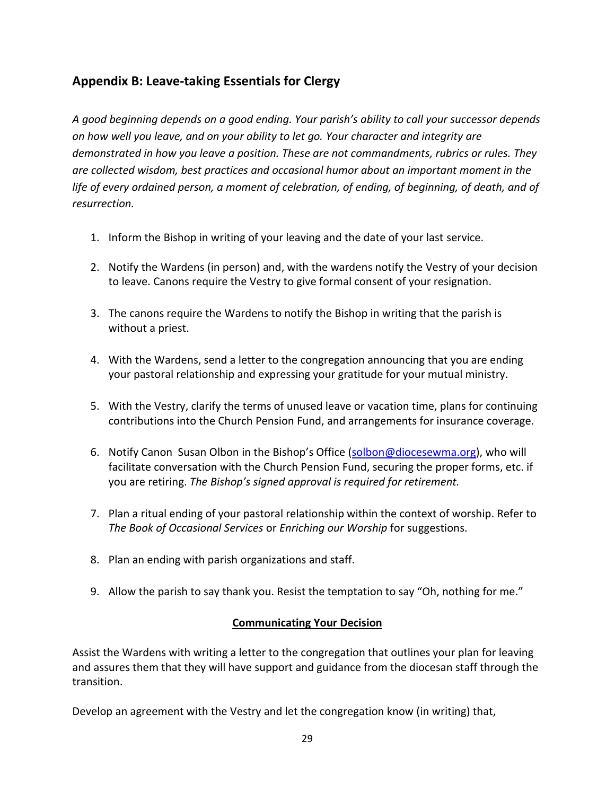# **Appendix B: Leave-taking Essentials for Clergy**

*A good beginning depends on a good ending. Your parish's ability to call your successor depends on how well you leave, and on your ability to let go. Your character and integrity are demonstrated in how you leave a position. These are not commandments, rubrics or rules. They are collected wisdom, best practices and occasional humor about an important moment in the life of every ordained person, a moment of celebration, of ending, of beginning, of death, and of resurrection.*

- 1. Inform the Bishop in writing of your leaving and the date of your last service.
- 2. Notify the Wardens (in person) and, with the wardens notify the Vestry of your decision to leave. Canons require the Vestry to give formal consent of your resignation.
- 3. The canons require the Wardens to notify the Bishop in writing that the parish is without a priest.
- 4. With the Wardens, send a letter to the congregation announcing that you are ending your pastoral relationship and expressing your gratitude for your mutual ministry.
- 5. With the Vestry, clarify the terms of unused leave or vacation time, plans for continuing contributions into the Church Pension Fund, and arrangements for insurance coverage.
- 6. Notify Canon Susan Olbon in the Bishop's Office (solbon@diocesewma.org), who will facilitate conversation with the Church Pension Fund, securing the proper forms, etc. if you are retiring. *The Bishop's signed approval is required for retirement.*
- 7. Plan a ritual ending of your pastoral relationship within the context of worship. Refer to *The Book of Occasional Services* or *Enriching our Worship* for suggestions.
- 8. Plan an ending with parish organizations and staff.
- 9. Allow the parish to say thank you. Resist the temptation to say "Oh, nothing for me."

#### **Communicating Your Decision**

Assist the Wardens with writing a letter to the congregation that outlines your plan for leaving and assures them that they will have support and guidance from the diocesan staff through the transition.

Develop an agreement with the Vestry and let the congregation know (in writing) that,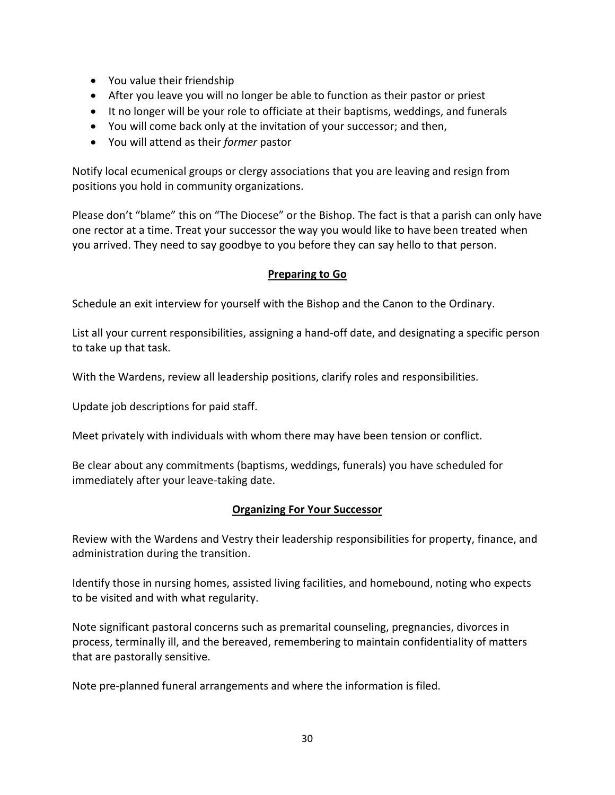- You value their friendship
- After you leave you will no longer be able to function as their pastor or priest
- It no longer will be your role to officiate at their baptisms, weddings, and funerals
- You will come back only at the invitation of your successor; and then,
- You will attend as their *former* pastor

Notify local ecumenical groups or clergy associations that you are leaving and resign from positions you hold in community organizations.

Please don't "blame" this on "The Diocese" or the Bishop. The fact is that a parish can only have one rector at a time. Treat your successor the way you would like to have been treated when you arrived. They need to say goodbye to you before they can say hello to that person.

#### **Preparing to Go**

Schedule an exit interview for yourself with the Bishop and the Canon to the Ordinary.

List all your current responsibilities, assigning a hand-off date, and designating a specific person to take up that task.

With the Wardens, review all leadership positions, clarify roles and responsibilities.

Update job descriptions for paid staff.

Meet privately with individuals with whom there may have been tension or conflict.

Be clear about any commitments (baptisms, weddings, funerals) you have scheduled for immediately after your leave-taking date.

#### **Organizing For Your Successor**

Review with the Wardens and Vestry their leadership responsibilities for property, finance, and administration during the transition.

Identify those in nursing homes, assisted living facilities, and homebound, noting who expects to be visited and with what regularity.

Note significant pastoral concerns such as premarital counseling, pregnancies, divorces in process, terminally ill, and the bereaved, remembering to maintain confidentiality of matters that are pastorally sensitive.

Note pre-planned funeral arrangements and where the information is filed.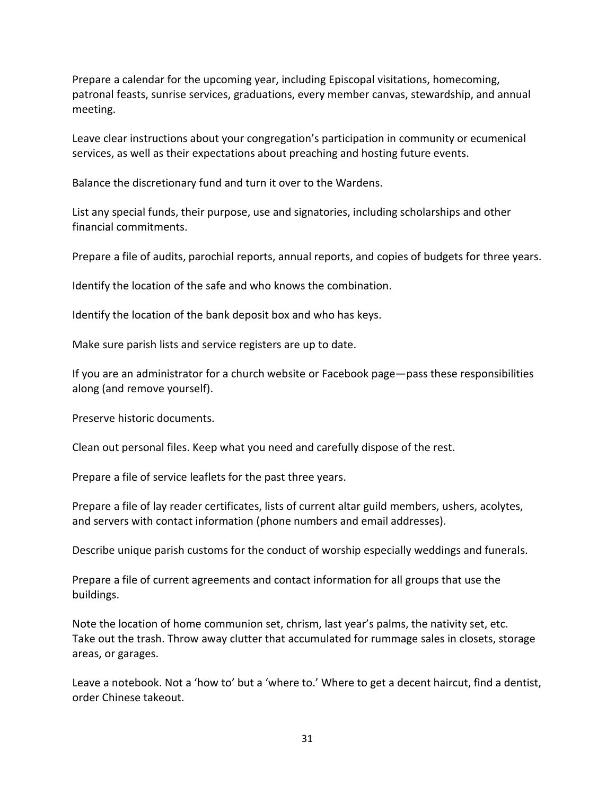Prepare a calendar for the upcoming year, including Episcopal visitations, homecoming, patronal feasts, sunrise services, graduations, every member canvas, stewardship, and annual meeting.

Leave clear instructions about your congregation's participation in community or ecumenical services, as well as their expectations about preaching and hosting future events.

Balance the discretionary fund and turn it over to the Wardens.

List any special funds, their purpose, use and signatories, including scholarships and other financial commitments.

Prepare a file of audits, parochial reports, annual reports, and copies of budgets for three years.

Identify the location of the safe and who knows the combination.

Identify the location of the bank deposit box and who has keys.

Make sure parish lists and service registers are up to date.

If you are an administrator for a church website or Facebook page—pass these responsibilities along (and remove yourself).

Preserve historic documents.

Clean out personal files. Keep what you need and carefully dispose of the rest.

Prepare a file of service leaflets for the past three years.

Prepare a file of lay reader certificates, lists of current altar guild members, ushers, acolytes, and servers with contact information (phone numbers and email addresses).

Describe unique parish customs for the conduct of worship especially weddings and funerals.

Prepare a file of current agreements and contact information for all groups that use the buildings.

Note the location of home communion set, chrism, last year's palms, the nativity set, etc. Take out the trash. Throw away clutter that accumulated for rummage sales in closets, storage areas, or garages.

Leave a notebook. Not a 'how to' but a 'where to.' Where to get a decent haircut, find a dentist, order Chinese takeout.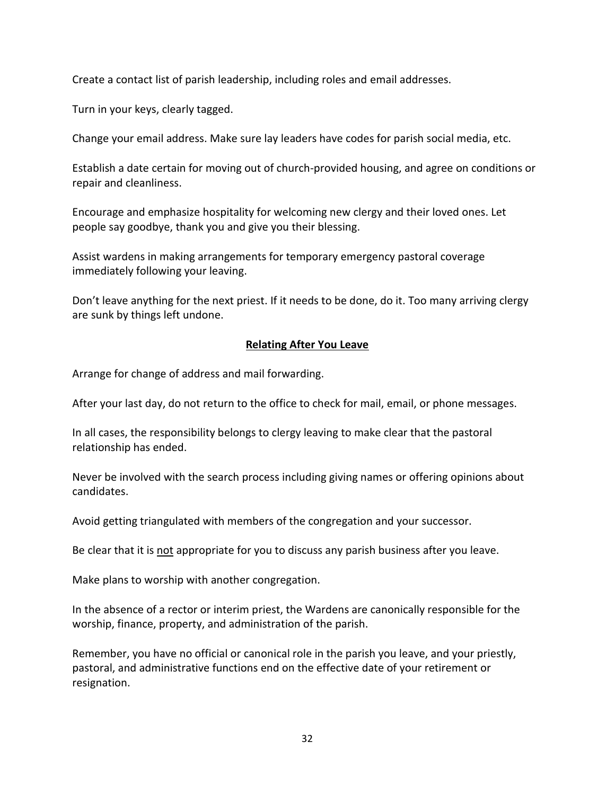Create a contact list of parish leadership, including roles and email addresses.

Turn in your keys, clearly tagged.

Change your email address. Make sure lay leaders have codes for parish social media, etc.

Establish a date certain for moving out of church-provided housing, and agree on conditions or repair and cleanliness.

Encourage and emphasize hospitality for welcoming new clergy and their loved ones. Let people say goodbye, thank you and give you their blessing.

Assist wardens in making arrangements for temporary emergency pastoral coverage immediately following your leaving.

Don't leave anything for the next priest. If it needs to be done, do it. Too many arriving clergy are sunk by things left undone.

#### **Relating After You Leave**

Arrange for change of address and mail forwarding.

After your last day, do not return to the office to check for mail, email, or phone messages.

In all cases, the responsibility belongs to clergy leaving to make clear that the pastoral relationship has ended.

Never be involved with the search process including giving names or offering opinions about candidates.

Avoid getting triangulated with members of the congregation and your successor.

Be clear that it is not appropriate for you to discuss any parish business after you leave.

Make plans to worship with another congregation.

In the absence of a rector or interim priest, the Wardens are canonically responsible for the worship, finance, property, and administration of the parish.

Remember, you have no official or canonical role in the parish you leave, and your priestly, pastoral, and administrative functions end on the effective date of your retirement or resignation.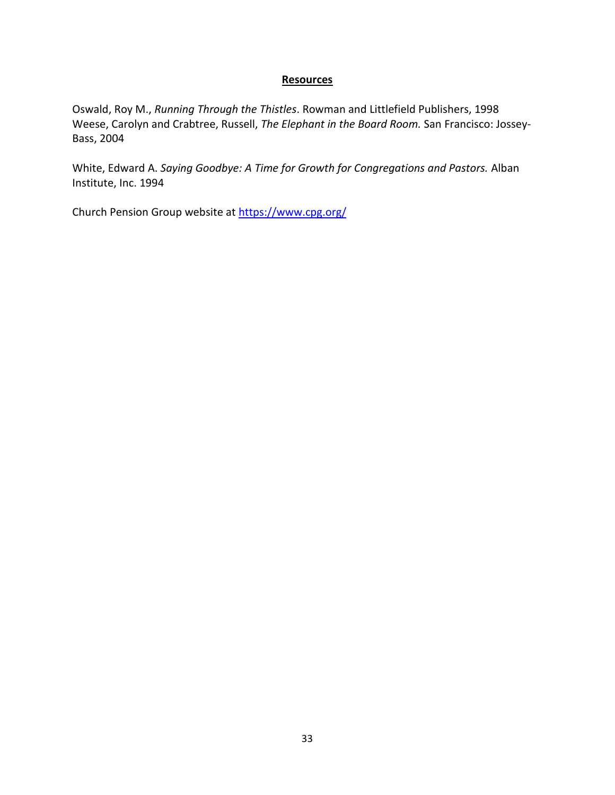#### **Resources**

Oswald, Roy M., *Running Through the Thistles*. Rowman and Littlefield Publishers, 1998 Weese, Carolyn and Crabtree, Russell, *The Elephant in the Board Room.* San Francisco: Jossey-Bass, 2004

White, Edward A. *Saying Goodbye: A Time for Growth for Congregations and Pastors.* Alban Institute, Inc. 1994

Church Pension Group website at https://www.cpg.org/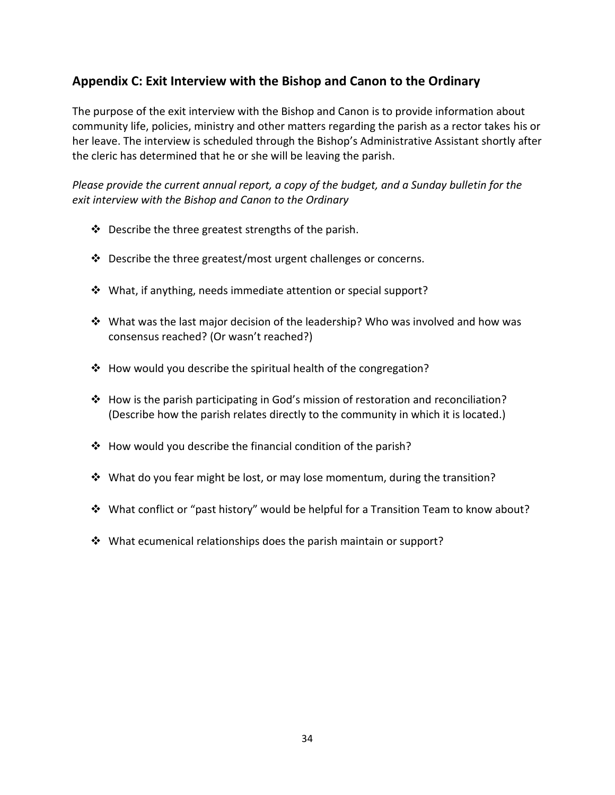# **Appendix C: Exit Interview with the Bishop and Canon to the Ordinary**

The purpose of the exit interview with the Bishop and Canon is to provide information about community life, policies, ministry and other matters regarding the parish as a rector takes his or her leave. The interview is scheduled through the Bishop's Administrative Assistant shortly after the cleric has determined that he or she will be leaving the parish.

*Please provide the current annual report, a copy of the budget, and a Sunday bulletin for the exit interview with the Bishop and Canon to the Ordinary*

- ❖ Describe the three greatest strengths of the parish.
- ❖ Describe the three greatest/most urgent challenges or concerns.
- ❖ What, if anything, needs immediate attention or special support?
- ❖ What was the last major decision of the leadership? Who was involved and how was consensus reached? (Or wasn't reached?)
- ❖ How would you describe the spiritual health of the congregation?
- $\cdot \cdot$  How is the parish participating in God's mission of restoration and reconciliation? (Describe how the parish relates directly to the community in which it is located.)
- ❖ How would you describe the financial condition of the parish?
- ❖ What do you fear might be lost, or may lose momentum, during the transition?
- ❖ What conflict or "past history" would be helpful for a Transition Team to know about?
- ❖ What ecumenical relationships does the parish maintain or support?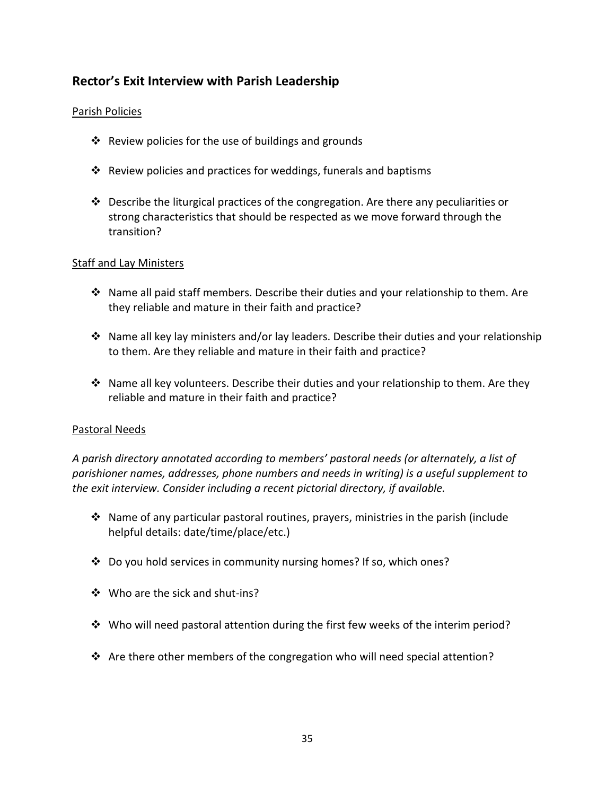# **Rector's Exit Interview with Parish Leadership**

#### Parish Policies

- ❖ Review policies for the use of buildings and grounds
- ❖ Review policies and practices for weddings, funerals and baptisms
- $\dots$  Describe the liturgical practices of the congregation. Are there any peculiarities or strong characteristics that should be respected as we move forward through the transition?

#### Staff and Lay Ministers

- ❖ Name all paid staff members. Describe their duties and your relationship to them. Are they reliable and mature in their faith and practice?
- ❖ Name all key lay ministers and/or lay leaders. Describe their duties and your relationship to them. Are they reliable and mature in their faith and practice?
- ❖ Name all key volunteers. Describe their duties and your relationship to them. Are they reliable and mature in their faith and practice?

#### Pastoral Needs

*A parish directory annotated according to members' pastoral needs (or alternately, a list of parishioner names, addresses, phone numbers and needs in writing) is a useful supplement to the exit interview. Consider including a recent pictorial directory, if available.*

- $\dots$  Name of any particular pastoral routines, prayers, ministries in the parish (include helpful details: date/time/place/etc.)
- ❖ Do you hold services in community nursing homes? If so, which ones?
- ❖ Who are the sick and shut-ins?
- ❖ Who will need pastoral attention during the first few weeks of the interim period?
- ❖ Are there other members of the congregation who will need special attention?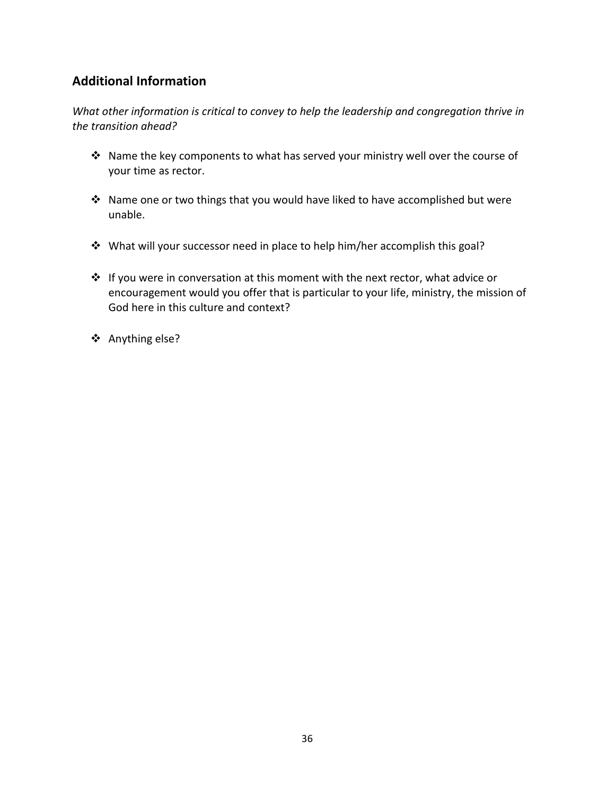# **Additional Information**

*What other information is critical to convey to help the leadership and congregation thrive in the transition ahead?*

- ❖ Name the key components to what has served your ministry well over the course of your time as rector.
- ❖ Name one or two things that you would have liked to have accomplished but were unable.
- ❖ What will your successor need in place to help him/her accomplish this goal?
- ❖ If you were in conversation at this moment with the next rector, what advice or encouragement would you offer that is particular to your life, ministry, the mission of God here in this culture and context?
- ❖ Anything else?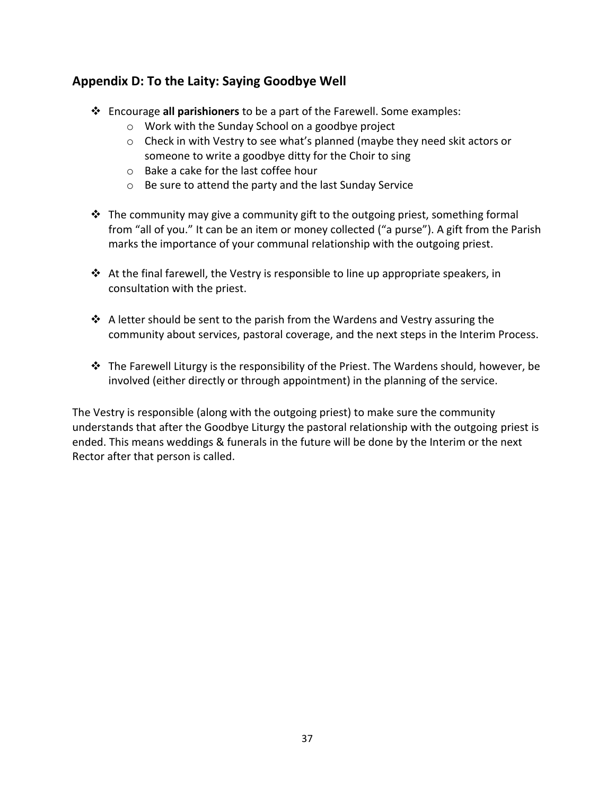# **Appendix D: To the Laity: Saying Goodbye Well**

- ❖ Encourage **all parishioners** to be a part of the Farewell. Some examples:
	- o Work with the Sunday School on a goodbye project
	- $\circ$  Check in with Vestry to see what's planned (maybe they need skit actors or someone to write a goodbye ditty for the Choir to sing
	- o Bake a cake for the last coffee hour
	- o Be sure to attend the party and the last Sunday Service
- $\cdot$  The community may give a community gift to the outgoing priest, something formal from "all of you." It can be an item or money collected ("a purse"). A gift from the Parish marks the importance of your communal relationship with the outgoing priest.
- $\dots$  At the final farewell, the Vestry is responsible to line up appropriate speakers, in consultation with the priest.
- ❖ A letter should be sent to the parish from the Wardens and Vestry assuring the community about services, pastoral coverage, and the next steps in the Interim Process.
- $\dots$  The Farewell Liturgy is the responsibility of the Priest. The Wardens should, however, be involved (either directly or through appointment) in the planning of the service.

The Vestry is responsible (along with the outgoing priest) to make sure the community understands that after the Goodbye Liturgy the pastoral relationship with the outgoing priest is ended. This means weddings & funerals in the future will be done by the Interim or the next Rector after that person is called.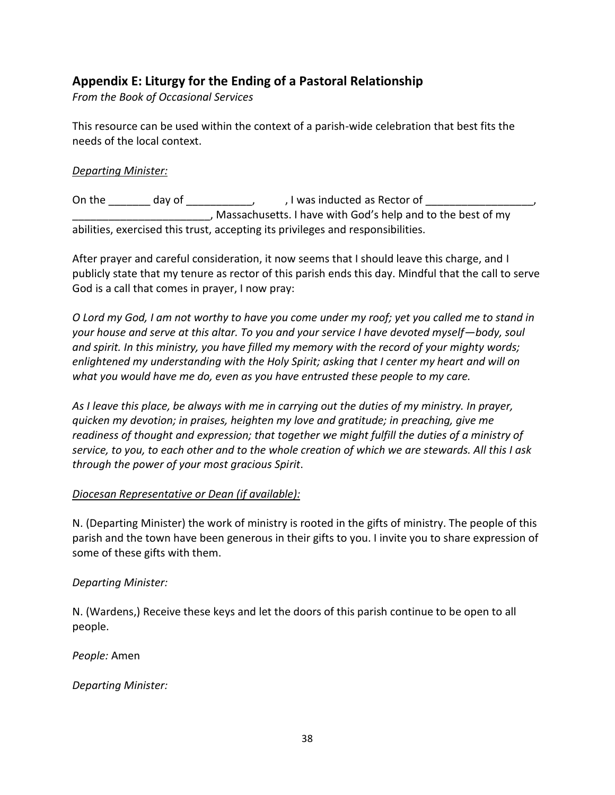# **Appendix E: Liturgy for the Ending of a Pastoral Relationship**

*From the Book of Occasional Services*

This resource can be used within the context of a parish-wide celebration that best fits the needs of the local context.

### *Departing Minister:*

On the \_\_\_\_\_\_\_\_\_ day of \_\_\_\_\_\_\_\_\_\_\_\_\_\_, , I was inducted as Rector of \_\_\_\_\_\_\_\_\_\_ \_\_\_\_\_\_\_\_\_\_\_\_\_\_\_\_\_\_\_\_\_\_\_, Massachusetts. I have with God's help and to the best of my abilities, exercised this trust, accepting its privileges and responsibilities.

After prayer and careful consideration, it now seems that I should leave this charge, and I publicly state that my tenure as rector of this parish ends this day. Mindful that the call to serve God is a call that comes in prayer, I now pray:

*O Lord my God, I am not worthy to have you come under my roof; yet you called me to stand in your house and serve at this altar. To you and your service I have devoted myself—body, soul and spirit. In this ministry, you have filled my memory with the record of your mighty words; enlightened my understanding with the Holy Spirit; asking that I center my heart and will on what you would have me do, even as you have entrusted these people to my care.*

*As I leave this place, be always with me in carrying out the duties of my ministry. In prayer, quicken my devotion; in praises, heighten my love and gratitude; in preaching, give me readiness of thought and expression; that together we might fulfill the duties of a ministry of service, to you, to each other and to the whole creation of which we are stewards. All this I ask through the power of your most gracious Spirit*.

### *Diocesan Representative or Dean (if available):*

N. (Departing Minister) the work of ministry is rooted in the gifts of ministry. The people of this parish and the town have been generous in their gifts to you. I invite you to share expression of some of these gifts with them.

### *Departing Minister:*

N. (Wardens,) Receive these keys and let the doors of this parish continue to be open to all people.

*People:* Amen

*Departing Minister:*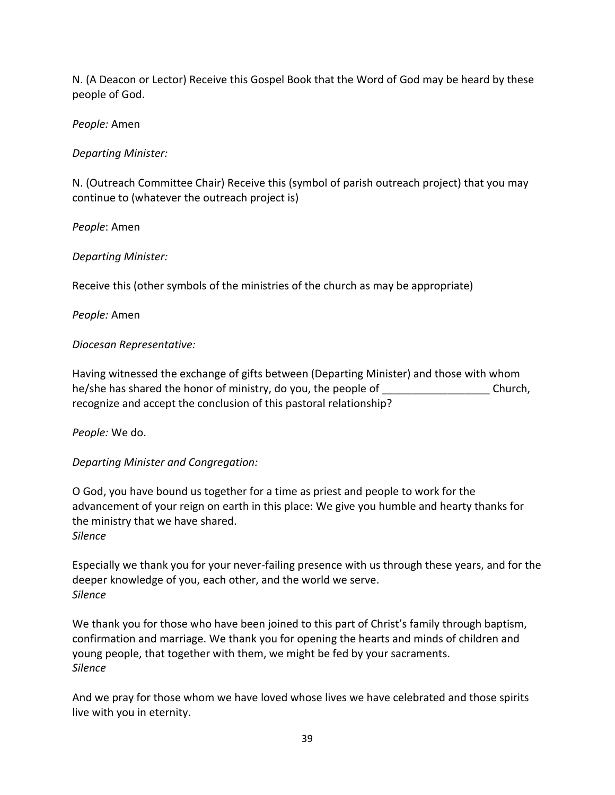N. (A Deacon or Lector) Receive this Gospel Book that the Word of God may be heard by these people of God.

*People:* Amen

*Departing Minister:*

N. (Outreach Committee Chair) Receive this (symbol of parish outreach project) that you may continue to (whatever the outreach project is)

*People*: Amen

*Departing Minister:*

Receive this (other symbols of the ministries of the church as may be appropriate)

*People:* Amen

### *Diocesan Representative:*

Having witnessed the exchange of gifts between (Departing Minister) and those with whom he/she has shared the honor of ministry, do you, the people of Theorem 2011 Church, recognize and accept the conclusion of this pastoral relationship?

*People:* We do.

*Departing Minister and Congregation:*

O God, you have bound us together for a time as priest and people to work for the advancement of your reign on earth in this place: We give you humble and hearty thanks for the ministry that we have shared. *Silence*

Especially we thank you for your never-failing presence with us through these years, and for the deeper knowledge of you, each other, and the world we serve. *Silence*

We thank you for those who have been joined to this part of Christ's family through baptism, confirmation and marriage. We thank you for opening the hearts and minds of children and young people, that together with them, we might be fed by your sacraments. *Silence*

And we pray for those whom we have loved whose lives we have celebrated and those spirits live with you in eternity.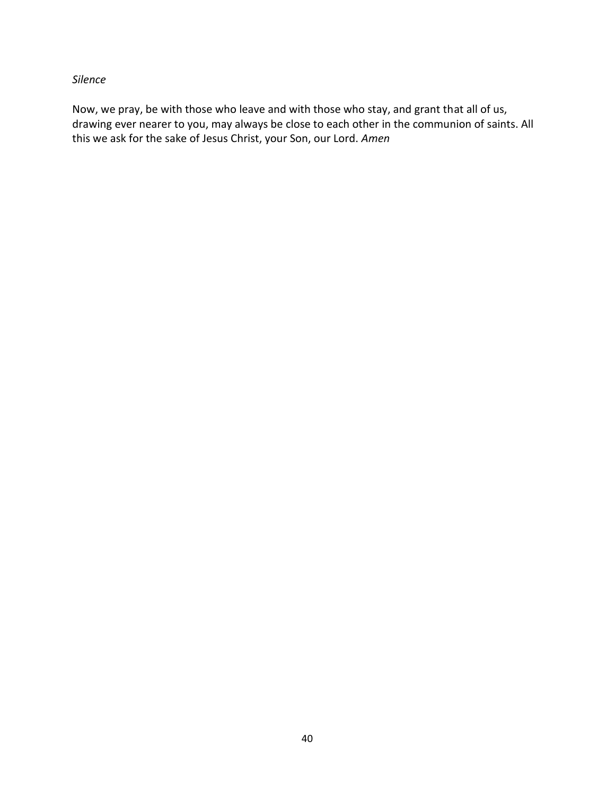### *Silence*

Now, we pray, be with those who leave and with those who stay, and grant that all of us, drawing ever nearer to you, may always be close to each other in the communion of saints. All this we ask for the sake of Jesus Christ, your Son, our Lord. *Amen*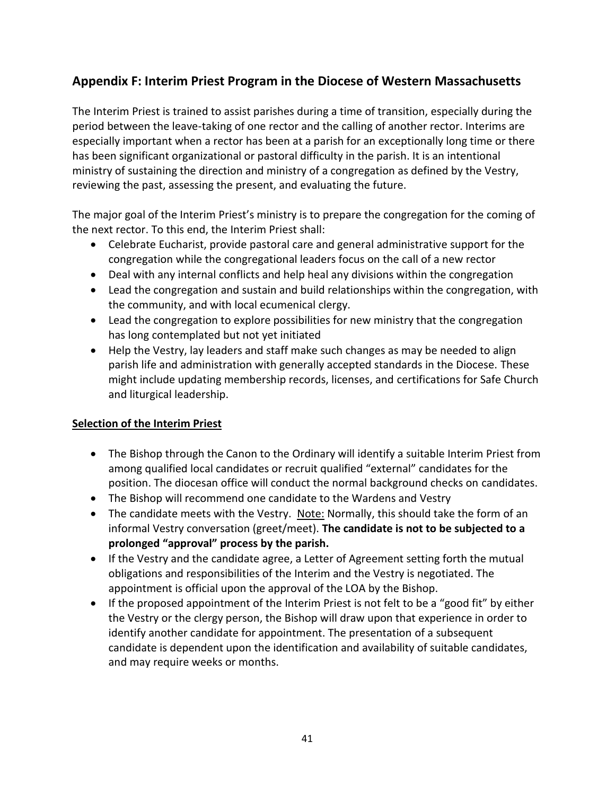# **Appendix F: Interim Priest Program in the Diocese of Western Massachusetts**

The Interim Priest is trained to assist parishes during a time of transition, especially during the period between the leave-taking of one rector and the calling of another rector. Interims are especially important when a rector has been at a parish for an exceptionally long time or there has been significant organizational or pastoral difficulty in the parish. It is an intentional ministry of sustaining the direction and ministry of a congregation as defined by the Vestry, reviewing the past, assessing the present, and evaluating the future.

The major goal of the Interim Priest's ministry is to prepare the congregation for the coming of the next rector. To this end, the Interim Priest shall:

- Celebrate Eucharist, provide pastoral care and general administrative support for the congregation while the congregational leaders focus on the call of a new rector
- Deal with any internal conflicts and help heal any divisions within the congregation
- Lead the congregation and sustain and build relationships within the congregation, with the community, and with local ecumenical clergy.
- Lead the congregation to explore possibilities for new ministry that the congregation has long contemplated but not yet initiated
- Help the Vestry, lay leaders and staff make such changes as may be needed to align parish life and administration with generally accepted standards in the Diocese. These might include updating membership records, licenses, and certifications for Safe Church and liturgical leadership.

### **Selection of the Interim Priest**

- The Bishop through the Canon to the Ordinary will identify a suitable Interim Priest from among qualified local candidates or recruit qualified "external" candidates for the position. The diocesan office will conduct the normal background checks on candidates.
- The Bishop will recommend one candidate to the Wardens and Vestry
- The candidate meets with the Vestry. Note: Normally, this should take the form of an informal Vestry conversation (greet/meet). **The candidate is not to be subjected to a prolonged "approval" process by the parish.**
- If the Vestry and the candidate agree, a Letter of Agreement setting forth the mutual obligations and responsibilities of the Interim and the Vestry is negotiated. The appointment is official upon the approval of the LOA by the Bishop.
- If the proposed appointment of the Interim Priest is not felt to be a "good fit" by either the Vestry or the clergy person, the Bishop will draw upon that experience in order to identify another candidate for appointment. The presentation of a subsequent candidate is dependent upon the identification and availability of suitable candidates, and may require weeks or months.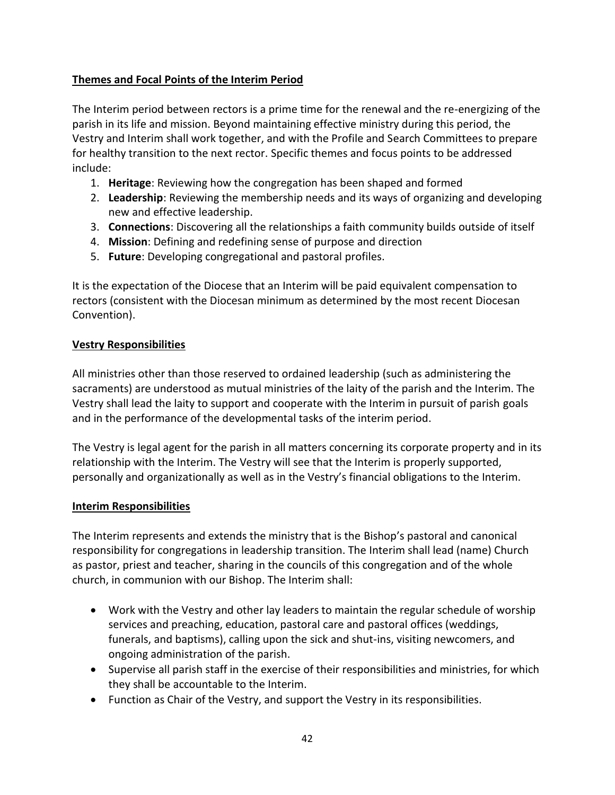### **Themes and Focal Points of the Interim Period**

The Interim period between rectors is a prime time for the renewal and the re-energizing of the parish in its life and mission. Beyond maintaining effective ministry during this period, the Vestry and Interim shall work together, and with the Profile and Search Committees to prepare for healthy transition to the next rector. Specific themes and focus points to be addressed include:

- 1. **Heritage**: Reviewing how the congregation has been shaped and formed
- 2. **Leadership**: Reviewing the membership needs and its ways of organizing and developing new and effective leadership.
- 3. **Connections**: Discovering all the relationships a faith community builds outside of itself
- 4. **Mission**: Defining and redefining sense of purpose and direction
- 5. **Future**: Developing congregational and pastoral profiles.

It is the expectation of the Diocese that an Interim will be paid equivalent compensation to rectors (consistent with the Diocesan minimum as determined by the most recent Diocesan Convention).

### **Vestry Responsibilities**

All ministries other than those reserved to ordained leadership (such as administering the sacraments) are understood as mutual ministries of the laity of the parish and the Interim. The Vestry shall lead the laity to support and cooperate with the Interim in pursuit of parish goals and in the performance of the developmental tasks of the interim period.

The Vestry is legal agent for the parish in all matters concerning its corporate property and in its relationship with the Interim. The Vestry will see that the Interim is properly supported, personally and organizationally as well as in the Vestry's financial obligations to the Interim.

#### **Interim Responsibilities**

The Interim represents and extends the ministry that is the Bishop's pastoral and canonical responsibility for congregations in leadership transition. The Interim shall lead (name) Church as pastor, priest and teacher, sharing in the councils of this congregation and of the whole church, in communion with our Bishop. The Interim shall:

- Work with the Vestry and other lay leaders to maintain the regular schedule of worship services and preaching, education, pastoral care and pastoral offices (weddings, funerals, and baptisms), calling upon the sick and shut-ins, visiting newcomers, and ongoing administration of the parish.
- Supervise all parish staff in the exercise of their responsibilities and ministries, for which they shall be accountable to the Interim.
- Function as Chair of the Vestry, and support the Vestry in its responsibilities.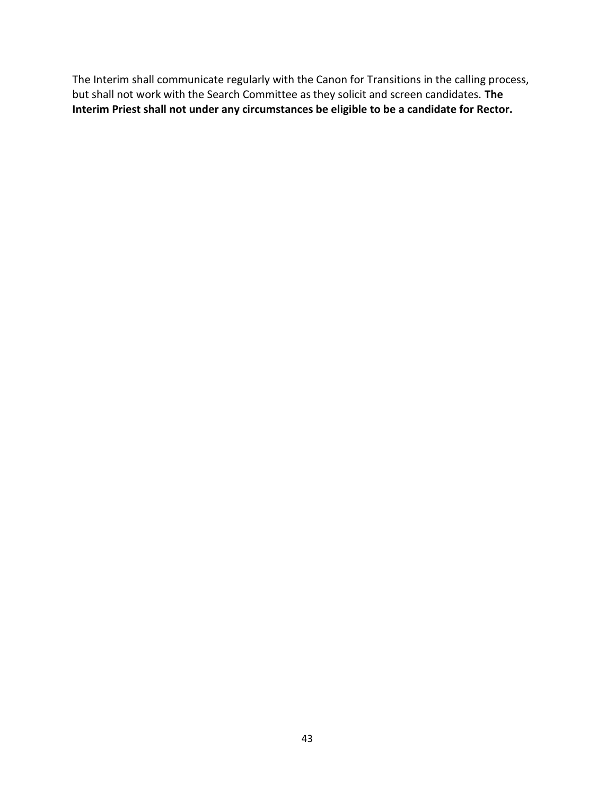The Interim shall communicate regularly with the Canon for Transitions in the calling process, but shall not work with the Search Committee as they solicit and screen candidates. **The Interim Priest shall not under any circumstances be eligible to be a candidate for Rector.**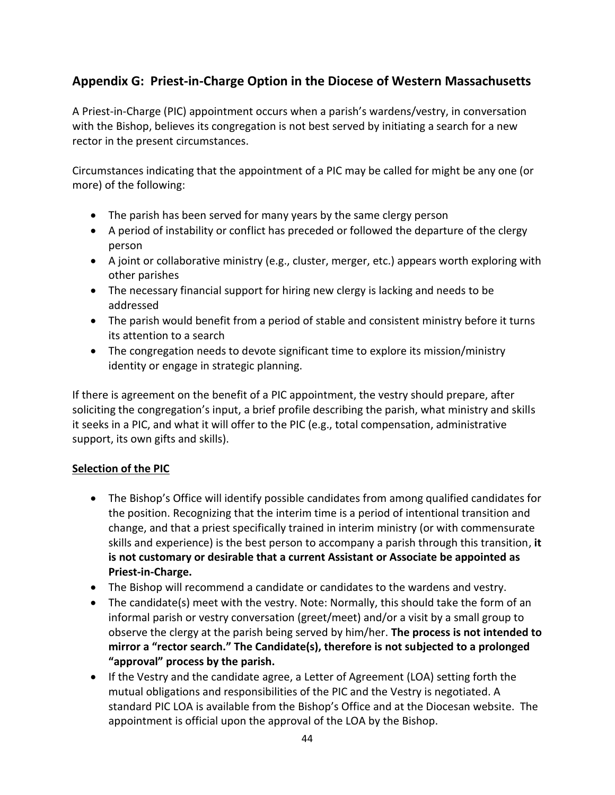# **Appendix G: Priest-in-Charge Option in the Diocese of Western Massachusetts**

A Priest-in-Charge (PIC) appointment occurs when a parish's wardens/vestry, in conversation with the Bishop, believes its congregation is not best served by initiating a search for a new rector in the present circumstances.

Circumstances indicating that the appointment of a PIC may be called for might be any one (or more) of the following:

- The parish has been served for many years by the same clergy person
- A period of instability or conflict has preceded or followed the departure of the clergy person
- A joint or collaborative ministry (e.g., cluster, merger, etc.) appears worth exploring with other parishes
- The necessary financial support for hiring new clergy is lacking and needs to be addressed
- The parish would benefit from a period of stable and consistent ministry before it turns its attention to a search
- The congregation needs to devote significant time to explore its mission/ministry identity or engage in strategic planning.

If there is agreement on the benefit of a PIC appointment, the vestry should prepare, after soliciting the congregation's input, a brief profile describing the parish, what ministry and skills it seeks in a PIC, and what it will offer to the PIC (e.g., total compensation, administrative support, its own gifts and skills).

### **Selection of the PIC**

- The Bishop's Office will identify possible candidates from among qualified candidates for the position. Recognizing that the interim time is a period of intentional transition and change, and that a priest specifically trained in interim ministry (or with commensurate skills and experience) is the best person to accompany a parish through this transition, **it is not customary or desirable that a current Assistant or Associate be appointed as Priest-in-Charge.**
- The Bishop will recommend a candidate or candidates to the wardens and vestry.
- The candidate(s) meet with the vestry. Note: Normally, this should take the form of an informal parish or vestry conversation (greet/meet) and/or a visit by a small group to observe the clergy at the parish being served by him/her. **The process is not intended to mirror a "rector search." The Candidate(s), therefore is not subjected to a prolonged "approval" process by the parish.**
- If the Vestry and the candidate agree, a Letter of Agreement (LOA) setting forth the mutual obligations and responsibilities of the PIC and the Vestry is negotiated. A standard PIC LOA is available from the Bishop's Office and at the Diocesan website. The appointment is official upon the approval of the LOA by the Bishop.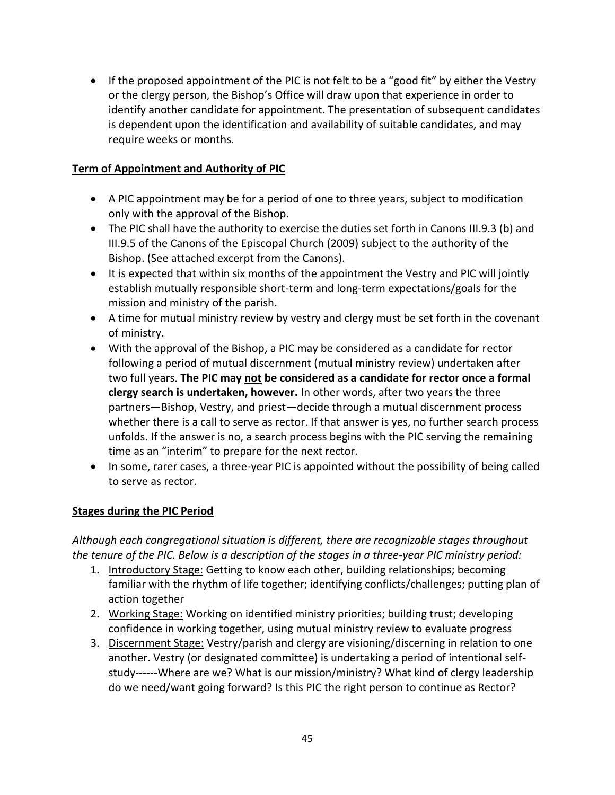• If the proposed appointment of the PIC is not felt to be a "good fit" by either the Vestry or the clergy person, the Bishop's Office will draw upon that experience in order to identify another candidate for appointment. The presentation of subsequent candidates is dependent upon the identification and availability of suitable candidates, and may require weeks or months.

### **Term of Appointment and Authority of PIC**

- A PIC appointment may be for a period of one to three years, subject to modification only with the approval of the Bishop.
- The PIC shall have the authority to exercise the duties set forth in Canons III.9.3 (b) and III.9.5 of the Canons of the Episcopal Church (2009) subject to the authority of the Bishop. (See attached excerpt from the Canons).
- It is expected that within six months of the appointment the Vestry and PIC will jointly establish mutually responsible short-term and long-term expectations/goals for the mission and ministry of the parish.
- A time for mutual ministry review by vestry and clergy must be set forth in the covenant of ministry.
- With the approval of the Bishop, a PIC may be considered as a candidate for rector following a period of mutual discernment (mutual ministry review) undertaken after two full years. **The PIC may not be considered as a candidate for rector once a formal clergy search is undertaken, however.** In other words, after two years the three partners—Bishop, Vestry, and priest—decide through a mutual discernment process whether there is a call to serve as rector. If that answer is yes, no further search process unfolds. If the answer is no, a search process begins with the PIC serving the remaining time as an "interim" to prepare for the next rector.
- In some, rarer cases, a three-year PIC is appointed without the possibility of being called to serve as rector.

### **Stages during the PIC Period**

*Although each congregational situation is different, there are recognizable stages throughout the tenure of the PIC. Below is a description of the stages in a three-year PIC ministry period:*

- 1. Introductory Stage: Getting to know each other, building relationships; becoming familiar with the rhythm of life together; identifying conflicts/challenges; putting plan of action together
- 2. Working Stage: Working on identified ministry priorities; building trust; developing confidence in working together, using mutual ministry review to evaluate progress
- 3. Discernment Stage: Vestry/parish and clergy are visioning/discerning in relation to one another. Vestry (or designated committee) is undertaking a period of intentional selfstudy------Where are we? What is our mission/ministry? What kind of clergy leadership do we need/want going forward? Is this PIC the right person to continue as Rector?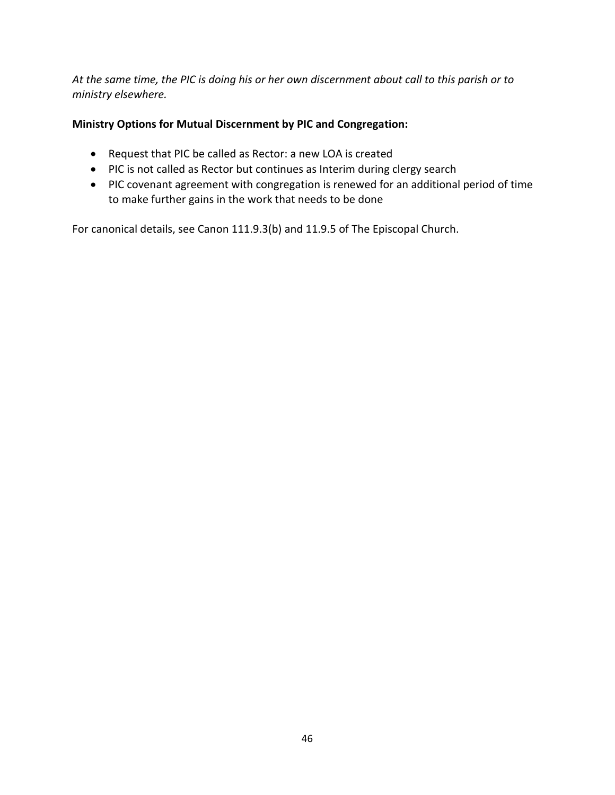*At the same time, the PIC is doing his or her own discernment about call to this parish or to ministry elsewhere.*

### **Ministry Options for Mutual Discernment by PIC and Congregation:**

- Request that PIC be called as Rector: a new LOA is created
- PIC is not called as Rector but continues as Interim during clergy search
- PIC covenant agreement with congregation is renewed for an additional period of time to make further gains in the work that needs to be done

For canonical details, see Canon 111.9.3(b) and 11.9.5 of The Episcopal Church.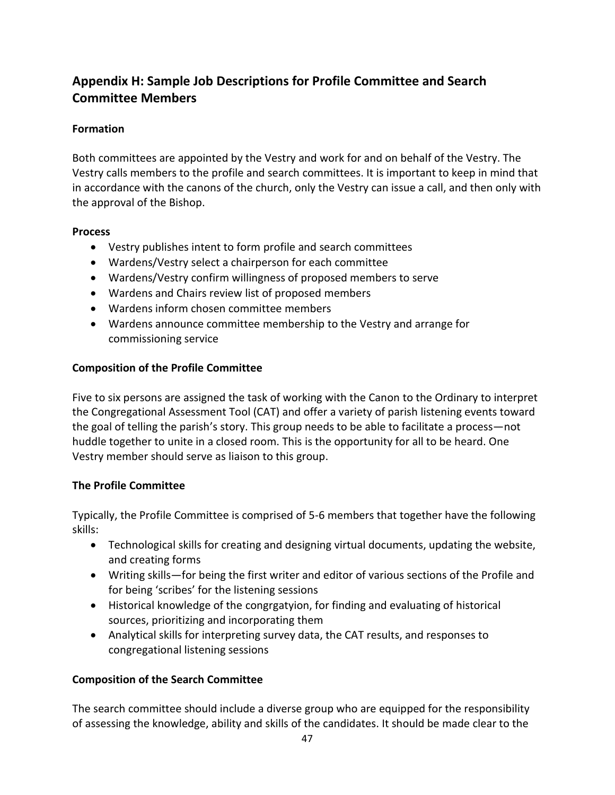# **Appendix H: Sample Job Descriptions for Profile Committee and Search Committee Members**

### **Formation**

Both committees are appointed by the Vestry and work for and on behalf of the Vestry. The Vestry calls members to the profile and search committees. It is important to keep in mind that in accordance with the canons of the church, only the Vestry can issue a call, and then only with the approval of the Bishop.

### **Process**

- Vestry publishes intent to form profile and search committees
- Wardens/Vestry select a chairperson for each committee
- Wardens/Vestry confirm willingness of proposed members to serve
- Wardens and Chairs review list of proposed members
- Wardens inform chosen committee members
- Wardens announce committee membership to the Vestry and arrange for commissioning service

### **Composition of the Profile Committee**

Five to six persons are assigned the task of working with the Canon to the Ordinary to interpret the Congregational Assessment Tool (CAT) and offer a variety of parish listening events toward the goal of telling the parish's story. This group needs to be able to facilitate a process—not huddle together to unite in a closed room. This is the opportunity for all to be heard. One Vestry member should serve as liaison to this group.

### **The Profile Committee**

Typically, the Profile Committee is comprised of 5-6 members that together have the following skills:

- Technological skills for creating and designing virtual documents, updating the website, and creating forms
- Writing skills—for being the first writer and editor of various sections of the Profile and for being 'scribes' for the listening sessions
- Historical knowledge of the congrgatyion, for finding and evaluating of historical sources, prioritizing and incorporating them
- Analytical skills for interpreting survey data, the CAT results, and responses to congregational listening sessions

### **Composition of the Search Committee**

The search committee should include a diverse group who are equipped for the responsibility of assessing the knowledge, ability and skills of the candidates. It should be made clear to the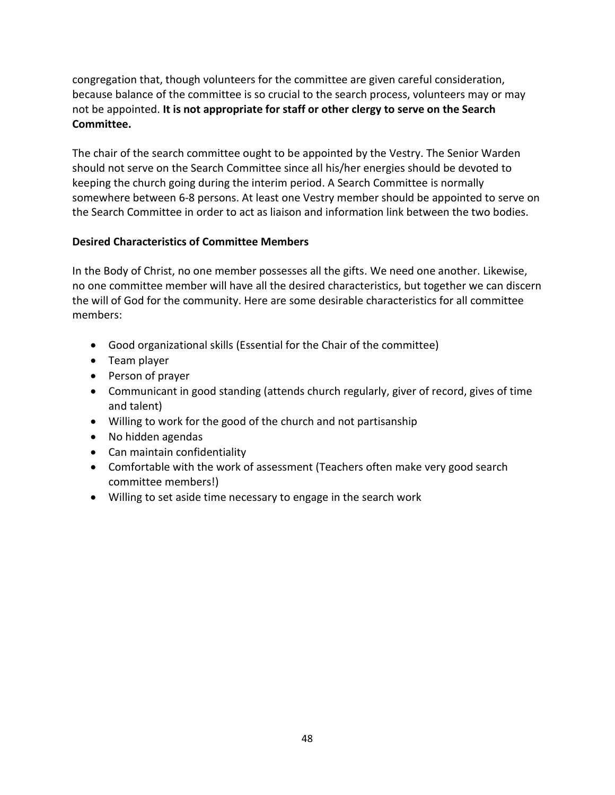congregation that, though volunteers for the committee are given careful consideration, because balance of the committee is so crucial to the search process, volunteers may or may not be appointed. **It is not appropriate for staff or other clergy to serve on the Search Committee.**

The chair of the search committee ought to be appointed by the Vestry. The Senior Warden should not serve on the Search Committee since all his/her energies should be devoted to keeping the church going during the interim period. A Search Committee is normally somewhere between 6-8 persons. At least one Vestry member should be appointed to serve on the Search Committee in order to act as liaison and information link between the two bodies.

### **Desired Characteristics of Committee Members**

In the Body of Christ, no one member possesses all the gifts. We need one another. Likewise, no one committee member will have all the desired characteristics, but together we can discern the will of God for the community. Here are some desirable characteristics for all committee members:

- Good organizational skills (Essential for the Chair of the committee)
- Team player
- Person of prayer
- Communicant in good standing (attends church regularly, giver of record, gives of time and talent)
- Willing to work for the good of the church and not partisanship
- No hidden agendas
- Can maintain confidentiality
- Comfortable with the work of assessment (Teachers often make very good search committee members!)
- Willing to set aside time necessary to engage in the search work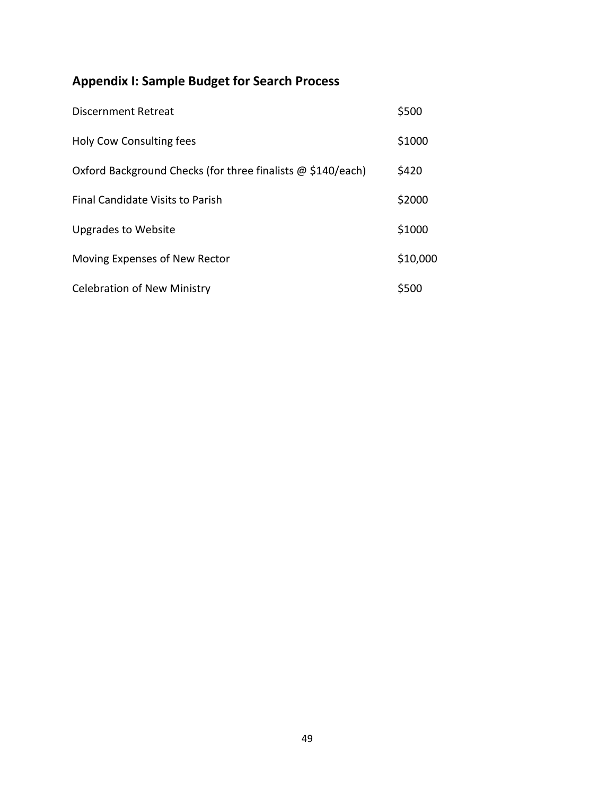# **Appendix I: Sample Budget for Search Process**

| Discernment Retreat                                                | \$500    |
|--------------------------------------------------------------------|----------|
| Holy Cow Consulting fees                                           | \$1000   |
| Oxford Background Checks (for three finalists $\omega$ \$140/each) | \$420    |
| <b>Final Candidate Visits to Parish</b>                            | \$2000   |
| <b>Upgrades to Website</b>                                         | \$1000   |
| Moving Expenses of New Rector                                      | \$10,000 |
| <b>Celebration of New Ministry</b>                                 | \$500    |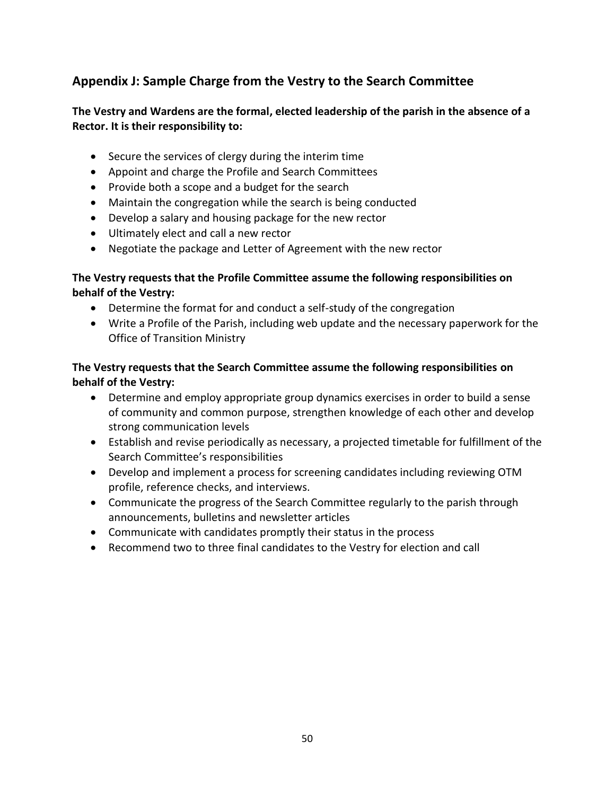# **Appendix J: Sample Charge from the Vestry to the Search Committee**

### **The Vestry and Wardens are the formal, elected leadership of the parish in the absence of a Rector. It is their responsibility to:**

- Secure the services of clergy during the interim time
- Appoint and charge the Profile and Search Committees
- Provide both a scope and a budget for the search
- Maintain the congregation while the search is being conducted
- Develop a salary and housing package for the new rector
- Ultimately elect and call a new rector
- Negotiate the package and Letter of Agreement with the new rector

### **The Vestry requests that the Profile Committee assume the following responsibilities on behalf of the Vestry:**

- Determine the format for and conduct a self-study of the congregation
- Write a Profile of the Parish, including web update and the necessary paperwork for the Office of Transition Ministry

### **The Vestry requests that the Search Committee assume the following responsibilities on behalf of the Vestry:**

- Determine and employ appropriate group dynamics exercises in order to build a sense of community and common purpose, strengthen knowledge of each other and develop strong communication levels
- Establish and revise periodically as necessary, a projected timetable for fulfillment of the Search Committee's responsibilities
- Develop and implement a process for screening candidates including reviewing OTM profile, reference checks, and interviews.
- Communicate the progress of the Search Committee regularly to the parish through announcements, bulletins and newsletter articles
- Communicate with candidates promptly their status in the process
- Recommend two to three final candidates to the Vestry for election and call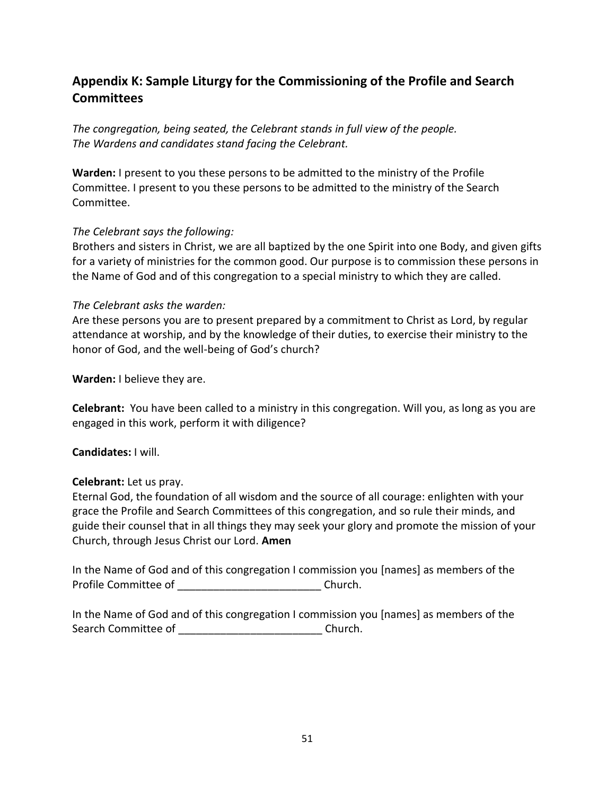# **Appendix K: Sample Liturgy for the Commissioning of the Profile and Search Committees**

*The congregation, being seated, the Celebrant stands in full view of the people. The Wardens and candidates stand facing the Celebrant.*

**Warden:** I present to you these persons to be admitted to the ministry of the Profile Committee. I present to you these persons to be admitted to the ministry of the Search Committee.

#### *The Celebrant says the following:*

Brothers and sisters in Christ, we are all baptized by the one Spirit into one Body, and given gifts for a variety of ministries for the common good. Our purpose is to commission these persons in the Name of God and of this congregation to a special ministry to which they are called.

#### *The Celebrant asks the warden:*

Are these persons you are to present prepared by a commitment to Christ as Lord, by regular attendance at worship, and by the knowledge of their duties, to exercise their ministry to the honor of God, and the well-being of God's church?

**Warden:** I believe they are.

**Celebrant:** You have been called to a ministry in this congregation. Will you, as long as you are engaged in this work, perform it with diligence?

**Candidates:** I will.

#### **Celebrant:** Let us pray.

Eternal God, the foundation of all wisdom and the source of all courage: enlighten with your grace the Profile and Search Committees of this congregation, and so rule their minds, and guide their counsel that in all things they may seek your glory and promote the mission of your Church, through Jesus Christ our Lord. **Amen**

In the Name of God and of this congregation I commission you [names] as members of the Profile Committee of **Exercise 20** Church.

In the Name of God and of this congregation I commission you [names] as members of the Search Committee of **Exercise 2** Church.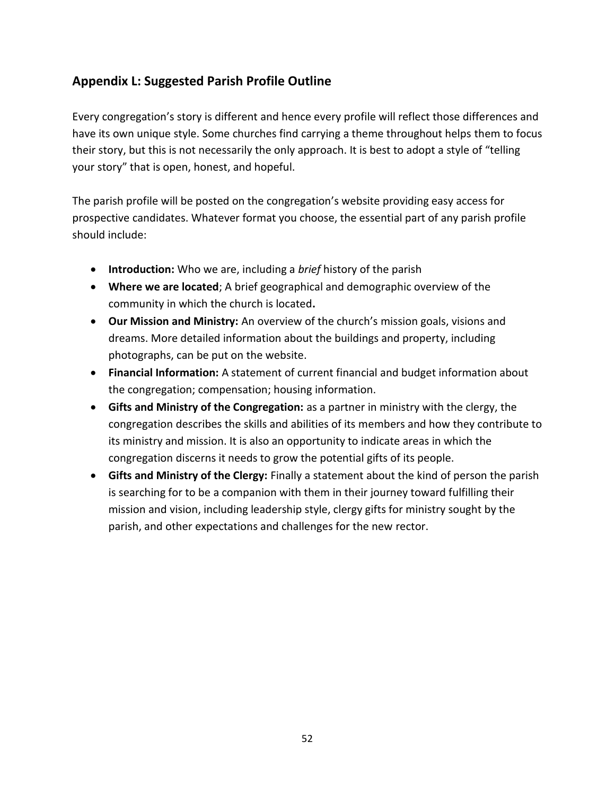# **Appendix L: Suggested Parish Profile Outline**

Every congregation's story is different and hence every profile will reflect those differences and have its own unique style. Some churches find carrying a theme throughout helps them to focus their story, but this is not necessarily the only approach. It is best to adopt a style of "telling your story" that is open, honest, and hopeful.

The parish profile will be posted on the congregation's website providing easy access for prospective candidates. Whatever format you choose, the essential part of any parish profile should include:

- **Introduction:** Who we are, including a *brief* history of the parish
- **Where we are located**; A brief geographical and demographic overview of the community in which the church is located**.**
- **Our Mission and Ministry:** An overview of the church's mission goals, visions and dreams. More detailed information about the buildings and property, including photographs, can be put on the website.
- **Financial Information:** A statement of current financial and budget information about the congregation; compensation; housing information.
- **Gifts and Ministry of the Congregation:** as a partner in ministry with the clergy, the congregation describes the skills and abilities of its members and how they contribute to its ministry and mission. It is also an opportunity to indicate areas in which the congregation discerns it needs to grow the potential gifts of its people.
- **Gifts and Ministry of the Clergy:** Finally a statement about the kind of person the parish is searching for to be a companion with them in their journey toward fulfilling their mission and vision, including leadership style, clergy gifts for ministry sought by the parish, and other expectations and challenges for the new rector.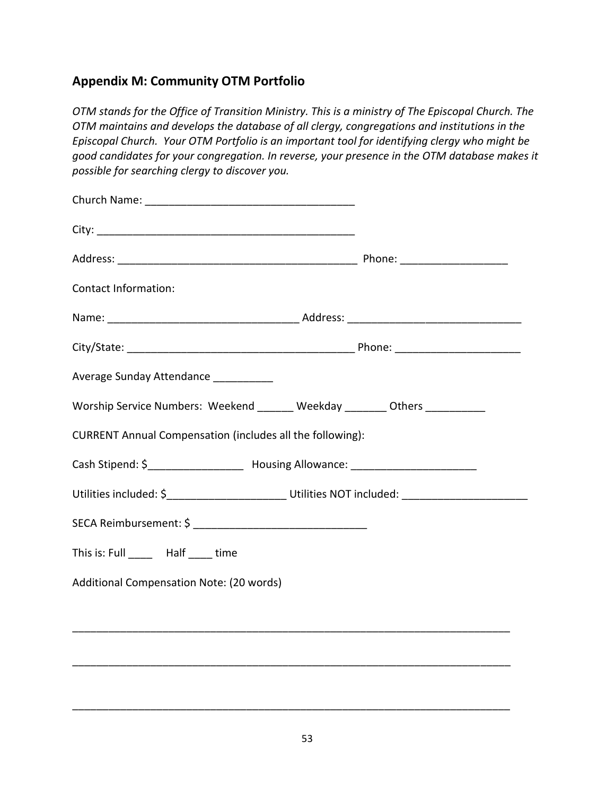# **Appendix M: Community OTM Portfolio**

*OTM stands for the Office of Transition Ministry. This is a ministry of The Episcopal Church. The OTM maintains and develops the database of all clergy, congregations and institutions in the Episcopal Church. Your OTM Portfolio is an important tool for identifying clergy who might be good candidates for your congregation. In reverse, your presence in the OTM database makes it possible for searching clergy to discover you.*

| <b>Contact Information:</b>                                                                                                                                                                                                     |  |
|---------------------------------------------------------------------------------------------------------------------------------------------------------------------------------------------------------------------------------|--|
|                                                                                                                                                                                                                                 |  |
|                                                                                                                                                                                                                                 |  |
| Average Sunday Attendance ___________                                                                                                                                                                                           |  |
| Worship Service Numbers: Weekend ______ Weekday _______ Others _________                                                                                                                                                        |  |
| CURRENT Annual Compensation (includes all the following):                                                                                                                                                                       |  |
| Cash Stipend: \$_______________________ Housing Allowance: ______________________                                                                                                                                               |  |
| Utilities included: \$__________________________Utilities NOT included: ____________________________                                                                                                                            |  |
| SECA Reimbursement: \$ \\cdot \\cdot \\cdot \\cdot \\cdot \\cdot \\cdot \\cdot \\cdot \\cdot \\cdot \\cdot \\cdot \\cdot \\cdot \\cdot \\cdot \\cdot \\cdot \\cdot \\cdot \\cdot \\cdot \\cdot \\cdot \\cdot \\cdot \\cdot \\cd |  |
| This is: Full Half time                                                                                                                                                                                                         |  |
| Additional Compensation Note: (20 words)                                                                                                                                                                                        |  |
|                                                                                                                                                                                                                                 |  |
|                                                                                                                                                                                                                                 |  |

\_\_\_\_\_\_\_\_\_\_\_\_\_\_\_\_\_\_\_\_\_\_\_\_\_\_\_\_\_\_\_\_\_\_\_\_\_\_\_\_\_\_\_\_\_\_\_\_\_\_\_\_\_\_\_\_\_\_\_\_\_\_\_\_\_\_\_\_\_\_\_\_\_

\_\_\_\_\_\_\_\_\_\_\_\_\_\_\_\_\_\_\_\_\_\_\_\_\_\_\_\_\_\_\_\_\_\_\_\_\_\_\_\_\_\_\_\_\_\_\_\_\_\_\_\_\_\_\_\_\_\_\_\_\_\_\_\_\_\_\_\_\_\_\_\_\_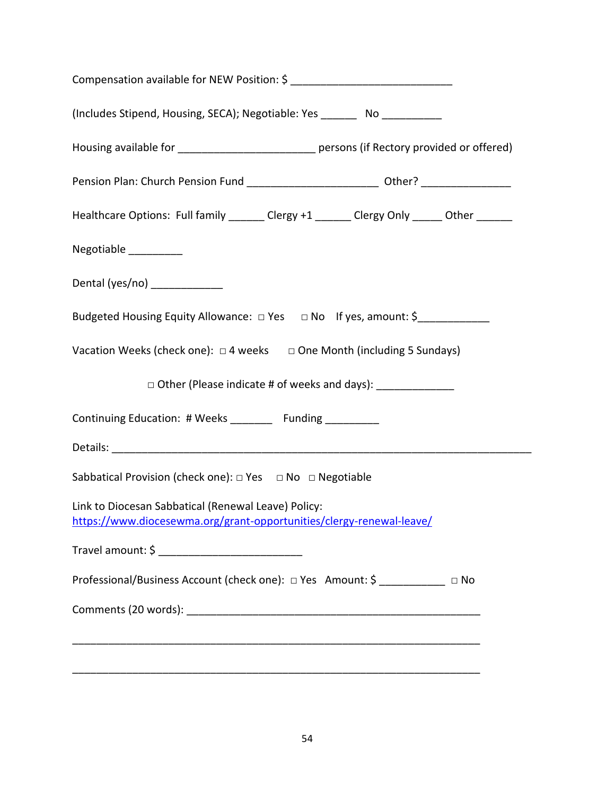| (Includes Stipend, Housing, SECA); Negotiable: Yes ________ No ____________                                                 |
|-----------------------------------------------------------------------------------------------------------------------------|
| Housing available for _______________________________ persons (if Rectory provided or offered)                              |
|                                                                                                                             |
| Healthcare Options: Full family ______ Clergy +1 ______ Clergy Only _____ Other ______                                      |
| Negotiable _________                                                                                                        |
| Dental (yes/no) ____________                                                                                                |
| Budgeted Housing Equity Allowance: □ Yes □ No If yes, amount: \$                                                            |
| Vacation Weeks (check one): $\Box$ 4 weeks $\Box$ One Month (including 5 Sundays)                                           |
| □ Other (Please indicate # of weeks and days): _______________                                                              |
| Continuing Education: # Weeks ________ Funding _________                                                                    |
|                                                                                                                             |
| Sabbatical Provision (check one): $\Box$ Yes $\Box$ No $\Box$ Negotiable                                                    |
| Link to Diocesan Sabbatical (Renewal Leave) Policy:<br>https://www.diocesewma.org/grant-opportunities/clergy-renewal-leave/ |
|                                                                                                                             |
| Professional/Business Account (check one): □ Yes Amount: \$ __________ □ No                                                 |
|                                                                                                                             |
|                                                                                                                             |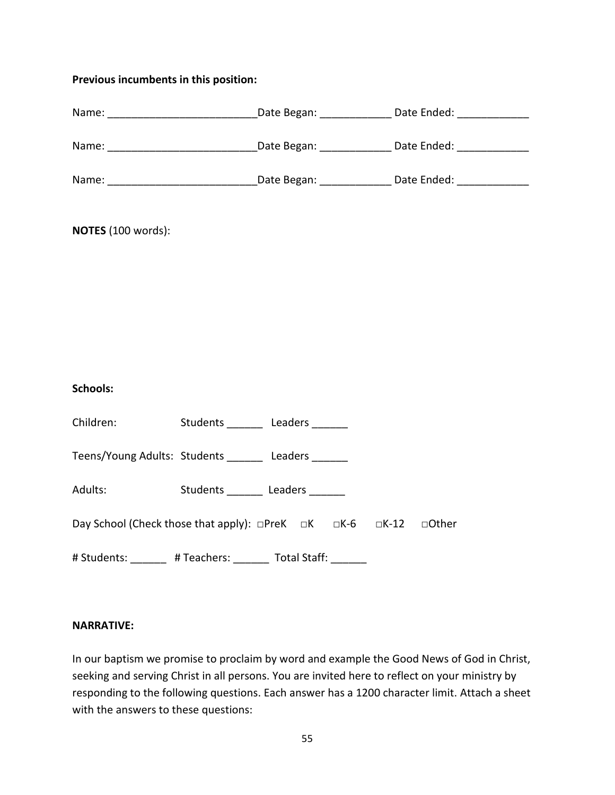### **Previous incumbents in this position:**

| Name: _________________________________Date Began: ___________________Date Ended: _________________ |                                 |  |  |  |  |
|-----------------------------------------------------------------------------------------------------|---------------------------------|--|--|--|--|
| Name: _________________________________Date Began: ___________________Date Ended: _________________ |                                 |  |  |  |  |
| Name: __________________________________Date Began: ___________________Date Ended: ________________ |                                 |  |  |  |  |
| NOTES (100 words):                                                                                  |                                 |  |  |  |  |
|                                                                                                     |                                 |  |  |  |  |
|                                                                                                     |                                 |  |  |  |  |
| <b>Schools:</b>                                                                                     |                                 |  |  |  |  |
| Children: The Children                                                                              | Students Leaders                |  |  |  |  |
| Teens/Young Adults: Students _______ Leaders ______                                                 |                                 |  |  |  |  |
| Adults:                                                                                             | Students _______ Leaders ______ |  |  |  |  |
| Day School (Check those that apply): □PreK □K   □K-6   □K-12   □Other                               |                                 |  |  |  |  |
| # Students: _______ # Teachers: _______ Total Staff: ______                                         |                                 |  |  |  |  |

#### **NARRATIVE:**

In our baptism we promise to proclaim by word and example the Good News of God in Christ, seeking and serving Christ in all persons. You are invited here to reflect on your ministry by responding to the following questions. Each answer has a 1200 character limit. Attach a sheet with the answers to these questions: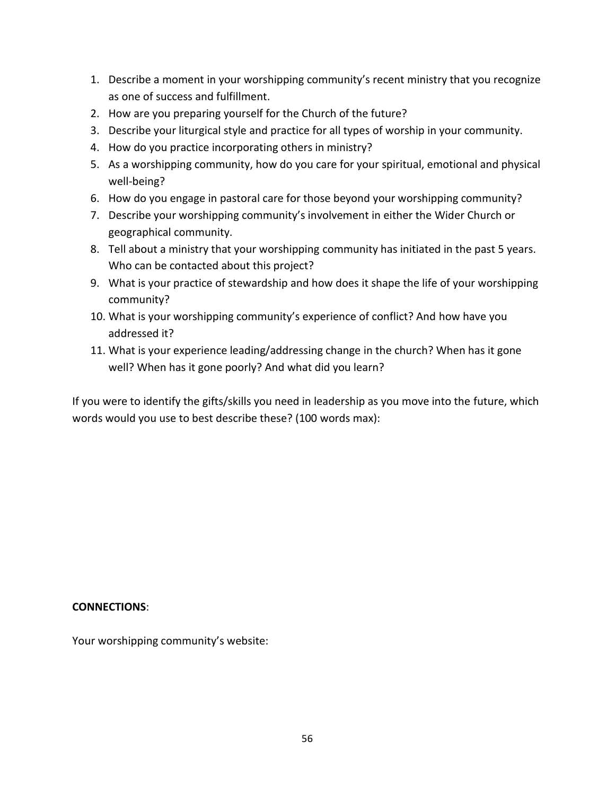- 1. Describe a moment in your worshipping community's recent ministry that you recognize as one of success and fulfillment.
- 2. How are you preparing yourself for the Church of the future?
- 3. Describe your liturgical style and practice for all types of worship in your community.
- 4. How do you practice incorporating others in ministry?
- 5. As a worshipping community, how do you care for your spiritual, emotional and physical well-being?
- 6. How do you engage in pastoral care for those beyond your worshipping community?
- 7. Describe your worshipping community's involvement in either the Wider Church or geographical community.
- 8. Tell about a ministry that your worshipping community has initiated in the past 5 years. Who can be contacted about this project?
- 9. What is your practice of stewardship and how does it shape the life of your worshipping community?
- 10. What is your worshipping community's experience of conflict? And how have you addressed it?
- 11. What is your experience leading/addressing change in the church? When has it gone well? When has it gone poorly? And what did you learn?

If you were to identify the gifts/skills you need in leadership as you move into the future, which words would you use to best describe these? (100 words max):

#### **CONNECTIONS**:

Your worshipping community's website: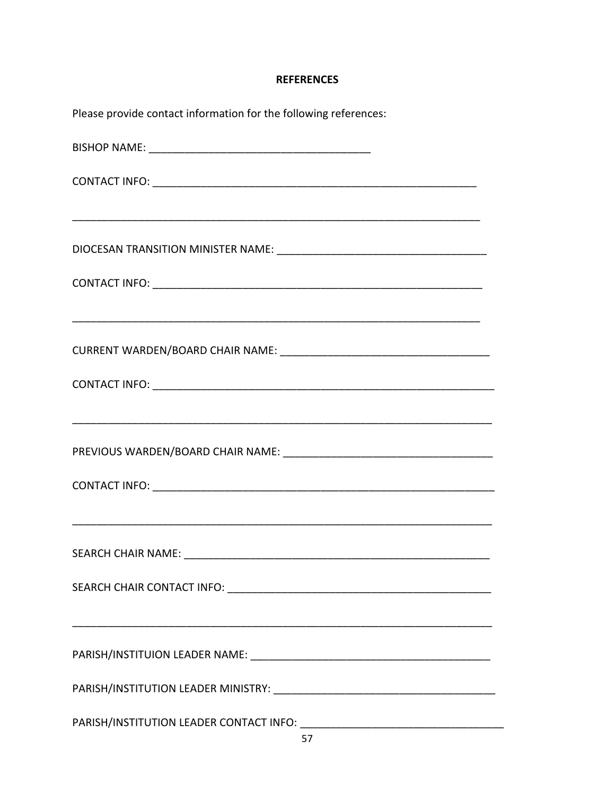## **REFERENCES**

| Please provide contact information for the following references: |  |  |  |
|------------------------------------------------------------------|--|--|--|
|                                                                  |  |  |  |
|                                                                  |  |  |  |
|                                                                  |  |  |  |
|                                                                  |  |  |  |
|                                                                  |  |  |  |
|                                                                  |  |  |  |
|                                                                  |  |  |  |
|                                                                  |  |  |  |
| <b>SEARCH CHAIR NAME:</b>                                        |  |  |  |
|                                                                  |  |  |  |
|                                                                  |  |  |  |
|                                                                  |  |  |  |
|                                                                  |  |  |  |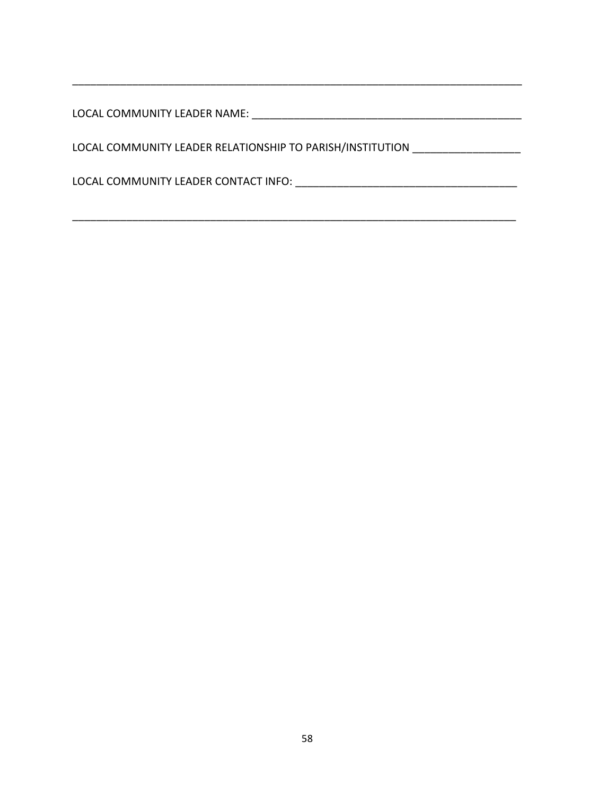LOCAL COMMUNITY LEADER NAME: \_\_\_\_\_\_\_\_\_\_\_\_\_\_\_\_\_\_\_\_\_\_\_\_\_\_\_\_\_\_\_\_\_\_\_\_\_\_\_\_\_\_\_\_\_

\_\_\_\_\_\_\_\_\_\_\_\_\_\_\_\_\_\_\_\_\_\_\_\_\_\_\_\_\_\_\_\_\_\_\_\_\_\_\_\_\_\_\_\_\_\_\_\_\_\_\_\_\_\_\_\_\_\_\_\_\_\_\_\_\_\_\_\_\_\_\_\_\_\_\_

LOCAL COMMUNITY LEADER RELATIONSHIP TO PARISH/INSTITUTION \_\_\_\_\_\_\_\_\_\_\_\_\_\_\_\_\_\_\_\_\_\_

LOCAL COMMUNITY LEADER CONTACT INFO: \_\_\_\_\_\_\_\_\_\_\_\_\_\_\_\_\_\_\_\_\_\_\_\_\_\_\_\_\_\_\_\_\_\_\_\_\_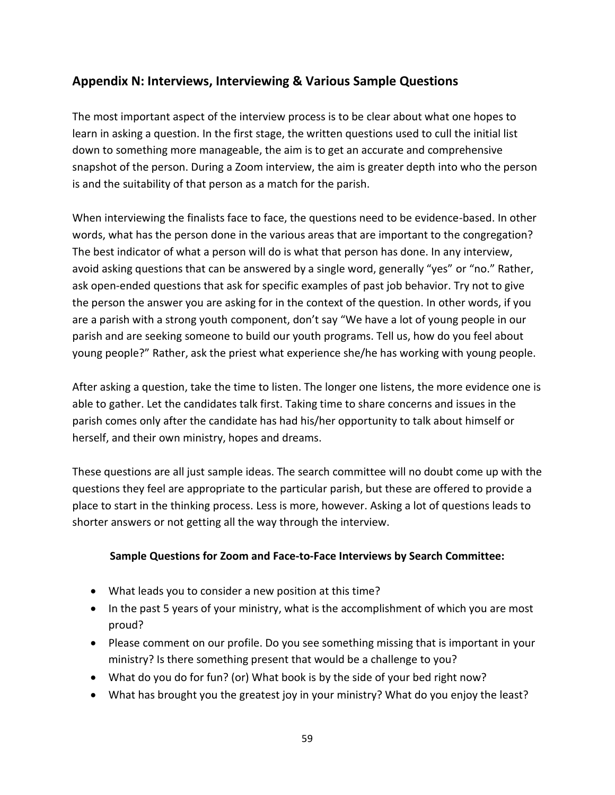# **Appendix N: Interviews, Interviewing & Various Sample Questions**

The most important aspect of the interview process is to be clear about what one hopes to learn in asking a question. In the first stage, the written questions used to cull the initial list down to something more manageable, the aim is to get an accurate and comprehensive snapshot of the person. During a Zoom interview, the aim is greater depth into who the person is and the suitability of that person as a match for the parish.

When interviewing the finalists face to face, the questions need to be evidence-based. In other words, what has the person done in the various areas that are important to the congregation? The best indicator of what a person will do is what that person has done. In any interview, avoid asking questions that can be answered by a single word, generally "yes" or "no." Rather, ask open-ended questions that ask for specific examples of past job behavior. Try not to give the person the answer you are asking for in the context of the question. In other words, if you are a parish with a strong youth component, don't say "We have a lot of young people in our parish and are seeking someone to build our youth programs. Tell us, how do you feel about young people?" Rather, ask the priest what experience she/he has working with young people.

After asking a question, take the time to listen. The longer one listens, the more evidence one is able to gather. Let the candidates talk first. Taking time to share concerns and issues in the parish comes only after the candidate has had his/her opportunity to talk about himself or herself, and their own ministry, hopes and dreams.

These questions are all just sample ideas. The search committee will no doubt come up with the questions they feel are appropriate to the particular parish, but these are offered to provide a place to start in the thinking process. Less is more, however. Asking a lot of questions leads to shorter answers or not getting all the way through the interview.

#### **Sample Questions for Zoom and Face-to-Face Interviews by Search Committee:**

- What leads you to consider a new position at this time?
- In the past 5 years of your ministry, what is the accomplishment of which you are most proud?
- Please comment on our profile. Do you see something missing that is important in your ministry? Is there something present that would be a challenge to you?
- What do you do for fun? (or) What book is by the side of your bed right now?
- What has brought you the greatest joy in your ministry? What do you enjoy the least?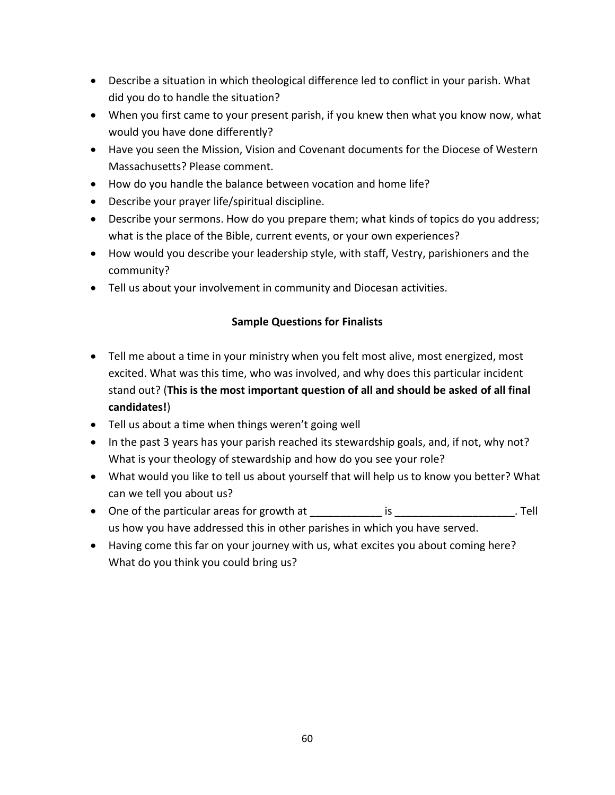- Describe a situation in which theological difference led to conflict in your parish. What did you do to handle the situation?
- When you first came to your present parish, if you knew then what you know now, what would you have done differently?
- Have you seen the Mission, Vision and Covenant documents for the Diocese of Western Massachusetts? Please comment.
- How do you handle the balance between vocation and home life?
- Describe your prayer life/spiritual discipline.
- Describe your sermons. How do you prepare them; what kinds of topics do you address; what is the place of the Bible, current events, or your own experiences?
- How would you describe your leadership style, with staff, Vestry, parishioners and the community?
- Tell us about your involvement in community and Diocesan activities.

### **Sample Questions for Finalists**

- Tell me about a time in your ministry when you felt most alive, most energized, most excited. What was this time, who was involved, and why does this particular incident stand out? (**This is the most important question of all and should be asked of all final candidates!**)
- Tell us about a time when things weren't going well
- In the past 3 years has your parish reached its stewardship goals, and, if not, why not? What is your theology of stewardship and how do you see your role?
- What would you like to tell us about yourself that will help us to know you better? What can we tell you about us?
- One of the particular areas for growth at \_\_\_\_\_\_\_\_\_\_\_\_ is \_\_\_\_\_\_\_\_\_\_\_\_\_\_\_\_\_\_\_\_. Tell us how you have addressed this in other parishes in which you have served.
- Having come this far on your journey with us, what excites you about coming here? What do you think you could bring us?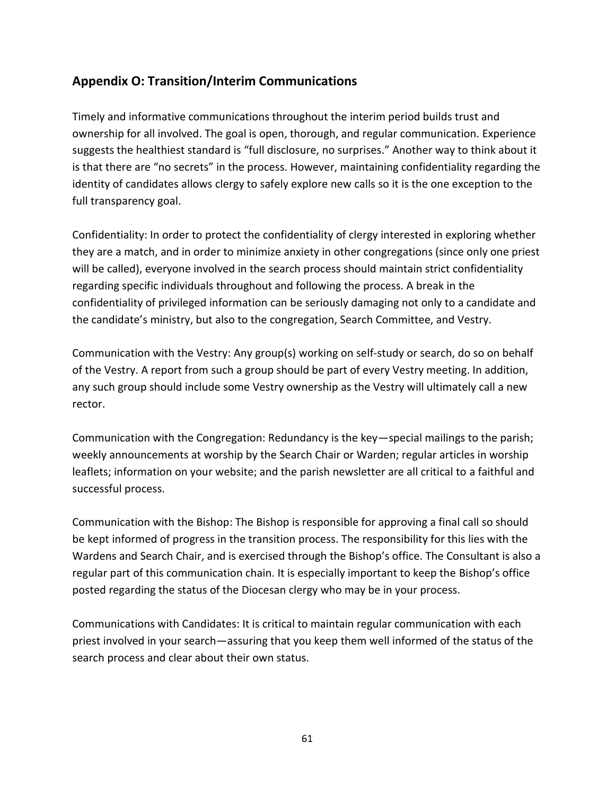# **Appendix O: Transition/Interim Communications**

Timely and informative communications throughout the interim period builds trust and ownership for all involved. The goal is open, thorough, and regular communication. Experience suggests the healthiest standard is "full disclosure, no surprises." Another way to think about it is that there are "no secrets" in the process. However, maintaining confidentiality regarding the identity of candidates allows clergy to safely explore new calls so it is the one exception to the full transparency goal.

Confidentiality: In order to protect the confidentiality of clergy interested in exploring whether they are a match, and in order to minimize anxiety in other congregations (since only one priest will be called), everyone involved in the search process should maintain strict confidentiality regarding specific individuals throughout and following the process. A break in the confidentiality of privileged information can be seriously damaging not only to a candidate and the candidate's ministry, but also to the congregation, Search Committee, and Vestry.

Communication with the Vestry: Any group(s) working on self-study or search, do so on behalf of the Vestry. A report from such a group should be part of every Vestry meeting. In addition, any such group should include some Vestry ownership as the Vestry will ultimately call a new rector.

Communication with the Congregation: Redundancy is the key—special mailings to the parish; weekly announcements at worship by the Search Chair or Warden; regular articles in worship leaflets; information on your website; and the parish newsletter are all critical to a faithful and successful process.

Communication with the Bishop: The Bishop is responsible for approving a final call so should be kept informed of progress in the transition process. The responsibility for this lies with the Wardens and Search Chair, and is exercised through the Bishop's office. The Consultant is also a regular part of this communication chain. It is especially important to keep the Bishop's office posted regarding the status of the Diocesan clergy who may be in your process.

Communications with Candidates: It is critical to maintain regular communication with each priest involved in your search—assuring that you keep them well informed of the status of the search process and clear about their own status.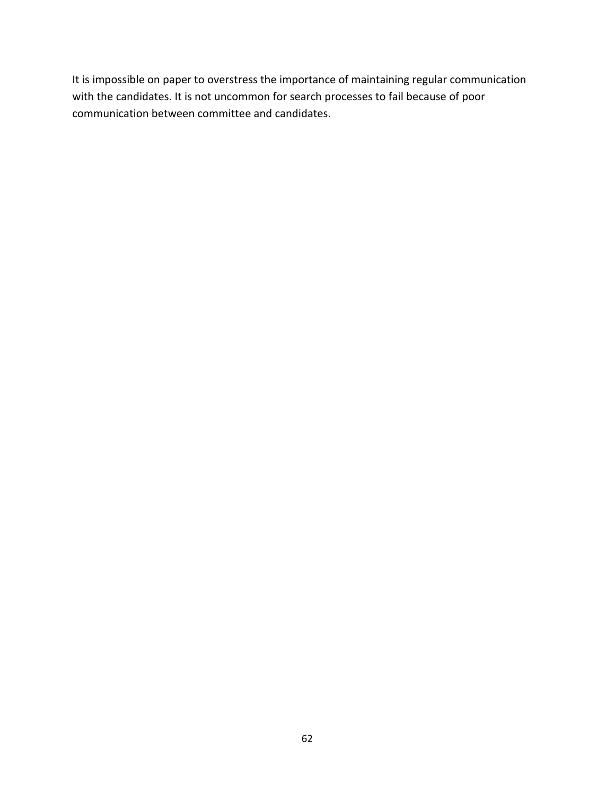It is impossible on paper to overstress the importance of maintaining regular communication with the candidates. It is not uncommon for search processes to fail because of poor communication between committee and candidates.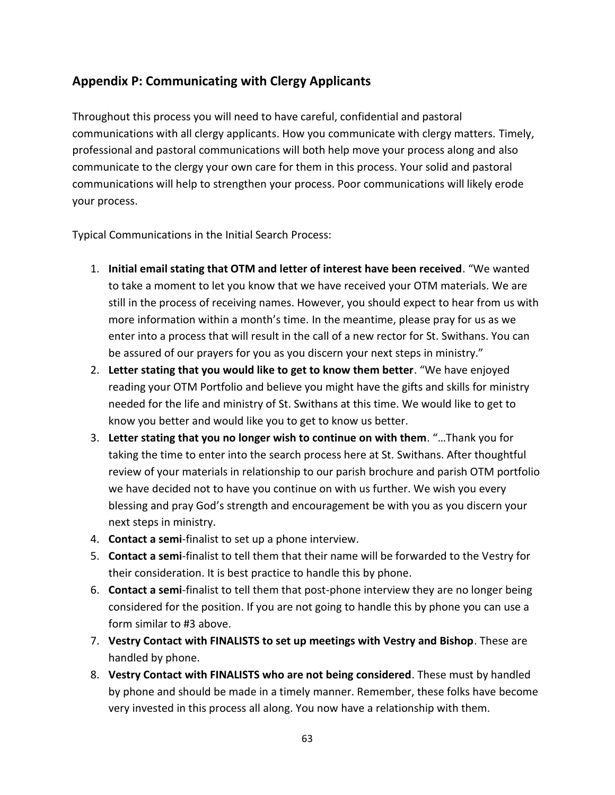# **Appendix P: Communicating with Clergy Applicants**

Throughout this process you will need to have careful, confidential and pastoral communications with all clergy applicants. How you communicate with clergy matters. Timely, professional and pastoral communications will both help move your process along and also communicate to the clergy your own care for them in this process. Your solid and pastoral communications will help to strengthen your process. Poor communications will likely erode your process.

Typical Communications in the Initial Search Process:

- 1. **Initial email stating that OTM and letter of interest have been received**. "We wanted to take a moment to let you know that we have received your OTM materials. We are still in the process of receiving names. However, you should expect to hear from us with more information within a month's time. In the meantime, please pray for us as we enter into a process that will result in the call of a new rector for St. Swithans. You can be assured of our prayers for you as you discern your next steps in ministry."
- 2. **Letter stating that you would like to get to know them better**. "We have enjoyed reading your OTM Portfolio and believe you might have the gifts and skills for ministry needed for the life and ministry of St. Swithans at this time. We would like to get to know you better and would like you to get to know us better.
- 3. **Letter stating that you no longer wish to continue on with them**. "…Thank you for taking the time to enter into the search process here at St. Swithans. After thoughtful review of your materials in relationship to our parish brochure and parish OTM portfolio we have decided not to have you continue on with us further. We wish you every blessing and pray God's strength and encouragement be with you as you discern your next steps in ministry.
- 4. **Contact a semi**-finalist to set up a phone interview.
- 5. **Contact a semi**-finalist to tell them that their name will be forwarded to the Vestry for their consideration. It is best practice to handle this by phone.
- 6. **Contact a semi**-finalist to tell them that post-phone interview they are no longer being considered for the position. If you are not going to handle this by phone you can use a form similar to #3 above.
- 7. **Vestry Contact with FINALISTS to set up meetings with Vestry and Bishop**. These are handled by phone.
- 8. **Vestry Contact with FINALISTS who are not being considered**. These must by handled by phone and should be made in a timely manner. Remember, these folks have become very invested in this process all along. You now have a relationship with them.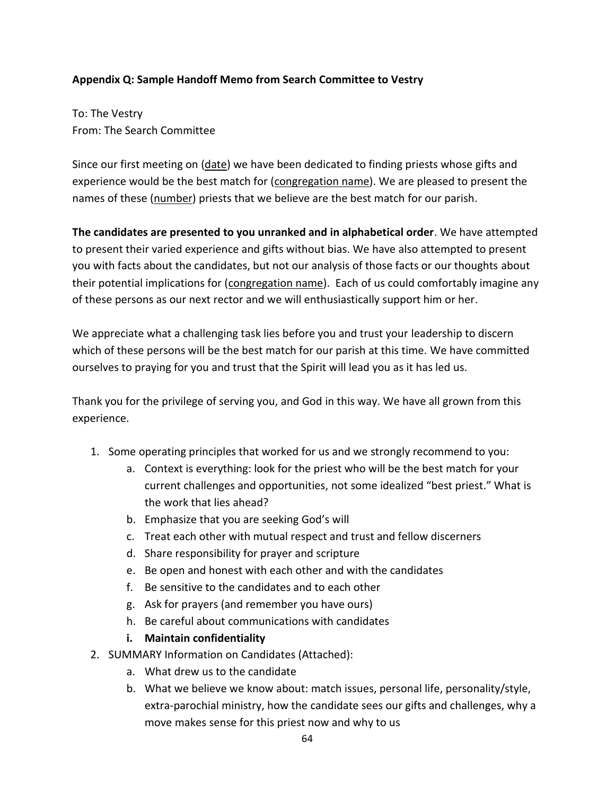### **Appendix Q: Sample Handoff Memo from Search Committee to Vestry**

To: The Vestry From: The Search Committee

Since our first meeting on (date) we have been dedicated to finding priests whose gifts and experience would be the best match for (congregation name). We are pleased to present the names of these (number) priests that we believe are the best match for our parish.

**The candidates are presented to you unranked and in alphabetical order**. We have attempted to present their varied experience and gifts without bias. We have also attempted to present you with facts about the candidates, but not our analysis of those facts or our thoughts about their potential implications for (congregation name). Each of us could comfortably imagine any of these persons as our next rector and we will enthusiastically support him or her.

We appreciate what a challenging task lies before you and trust your leadership to discern which of these persons will be the best match for our parish at this time. We have committed ourselves to praying for you and trust that the Spirit will lead you as it has led us.

Thank you for the privilege of serving you, and God in this way. We have all grown from this experience.

- 1. Some operating principles that worked for us and we strongly recommend to you:
	- a. Context is everything: look for the priest who will be the best match for your current challenges and opportunities, not some idealized "best priest." What is the work that lies ahead?
	- b. Emphasize that you are seeking God's will
	- c. Treat each other with mutual respect and trust and fellow discerners
	- d. Share responsibility for prayer and scripture
	- e. Be open and honest with each other and with the candidates
	- f. Be sensitive to the candidates and to each other
	- g. Ask for prayers (and remember you have ours)
	- h. Be careful about communications with candidates
	- **i. Maintain confidentiality**
- 2. SUMMARY Information on Candidates (Attached):
	- a. What drew us to the candidate
	- b. What we believe we know about: match issues, personal life, personality/style, extra-parochial ministry, how the candidate sees our gifts and challenges, why a move makes sense for this priest now and why to us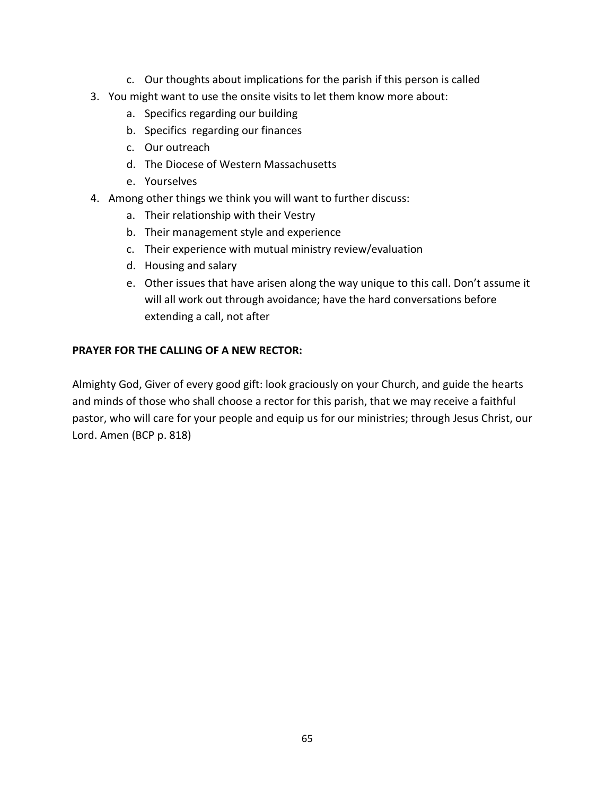- c. Our thoughts about implications for the parish if this person is called
- 3. You might want to use the onsite visits to let them know more about:
	- a. Specifics regarding our building
	- b. Specifics regarding our finances
	- c. Our outreach
	- d. The Diocese of Western Massachusetts
	- e. Yourselves
- 4. Among other things we think you will want to further discuss:
	- a. Their relationship with their Vestry
	- b. Their management style and experience
	- c. Their experience with mutual ministry review/evaluation
	- d. Housing and salary
	- e. Other issues that have arisen along the way unique to this call. Don't assume it will all work out through avoidance; have the hard conversations before extending a call, not after

#### **PRAYER FOR THE CALLING OF A NEW RECTOR:**

Almighty God, Giver of every good gift: look graciously on your Church, and guide the hearts and minds of those who shall choose a rector for this parish, that we may receive a faithful pastor, who will care for your people and equip us for our ministries; through Jesus Christ, our Lord. Amen (BCP p. 818)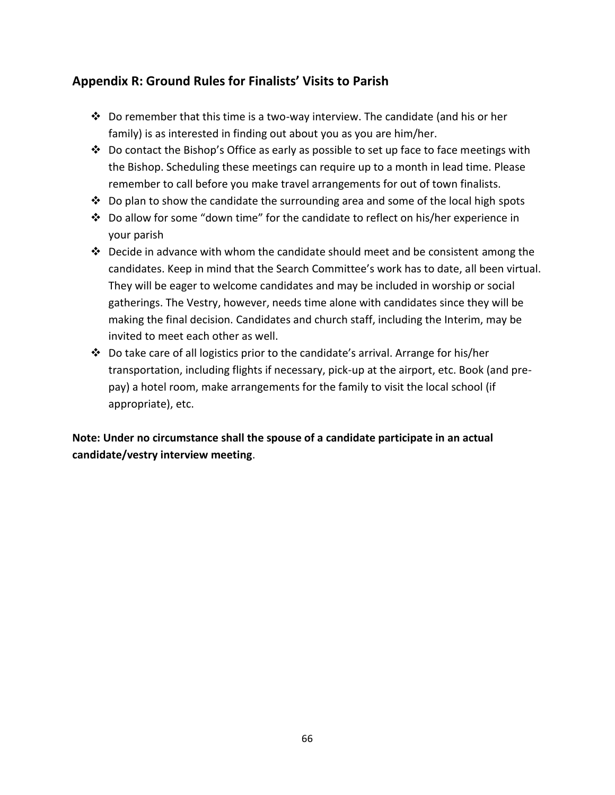# **Appendix R: Ground Rules for Finalists' Visits to Parish**

- ◆ Do remember that this time is a two-way interview. The candidate (and his or her family) is as interested in finding out about you as you are him/her.
- $♦$  Do contact the Bishop's Office as early as possible to set up face to face meetings with the Bishop. Scheduling these meetings can require up to a month in lead time. Please remember to call before you make travel arrangements for out of town finalists.
- $\dots$  Do plan to show the candidate the surrounding area and some of the local high spots
- ❖ Do allow for some "down time" for the candidate to reflect on his/her experience in your parish
- ❖ Decide in advance with whom the candidate should meet and be consistent among the candidates. Keep in mind that the Search Committee's work has to date, all been virtual. They will be eager to welcome candidates and may be included in worship or social gatherings. The Vestry, however, needs time alone with candidates since they will be making the final decision. Candidates and church staff, including the Interim, may be invited to meet each other as well.
- ❖ Do take care of all logistics prior to the candidate's arrival. Arrange for his/her transportation, including flights if necessary, pick-up at the airport, etc. Book (and prepay) a hotel room, make arrangements for the family to visit the local school (if appropriate), etc.

**Note: Under no circumstance shall the spouse of a candidate participate in an actual candidate/vestry interview meeting**.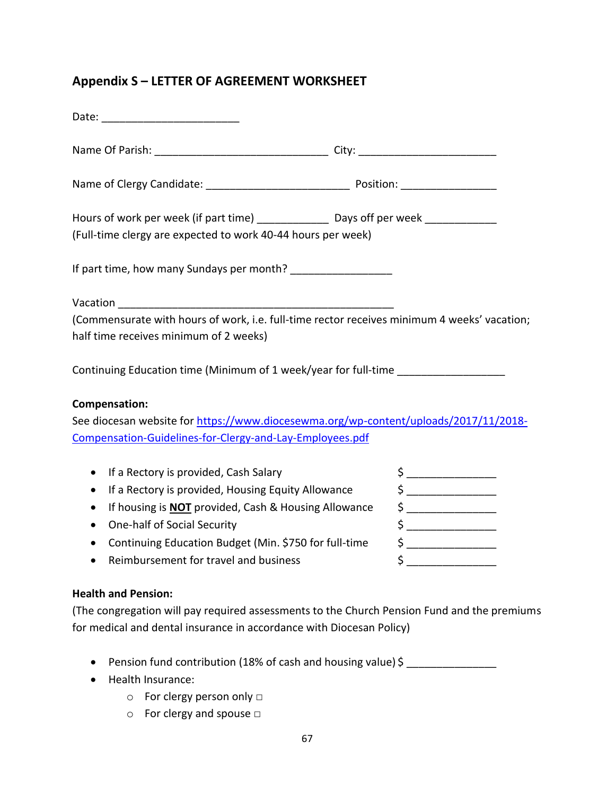# **Appendix S – LETTER OF AGREEMENT WORKSHEET**

| Hours of work per week (if part time) ________________ Days off per week _____________                                                |               |
|---------------------------------------------------------------------------------------------------------------------------------------|---------------|
| (Full-time clergy are expected to work 40-44 hours per week)                                                                          |               |
| If part time, how many Sundays per month? __________________                                                                          |               |
|                                                                                                                                       |               |
| (Commensurate with hours of work, i.e. full-time rector receives minimum 4 weeks' vacation;<br>half time receives minimum of 2 weeks) |               |
| Continuing Education time (Minimum of 1 week/year for full-time ________________                                                      |               |
| Compensation:                                                                                                                         |               |
| See diocesan website for https://www.diocesewma.org/wp-content/uploads/2017/11/2018-                                                  |               |
| Compensation-Guidelines-for-Clergy-and-Lay-Employees.pdf                                                                              |               |
| If a Rectory is provided, Cash Salary<br>$\bullet$                                                                                    | $\frac{1}{2}$ |
| If a Rectory is provided, Housing Equity Allowance<br>$\bullet$                                                                       |               |
| If housing is <b>NOT</b> provided, Cash & Housing Allowance<br>$\bullet$                                                              | $\frac{1}{2}$ |
| One-half of Social Security<br>$\bullet$                                                                                              | $\frac{1}{2}$ |

- Continuing Education Budget (Min. \$750 for full-time  $\begin{array}{cc} \text{5} & \text{5} \\ \text{1} & \text{6} \\ \text{1} & \text{7} \\ \text{2} & \text{8} \\ \text{3} & \text{1} \\ \text{4} & \text{1} \\ \text{5} & \text{1} \\ \text{6} & \text{1} \\ \text{7} & \text{1} \\ \text{8} & \text{1} \\ \text{9} & \text{10} \\ \text{10} & \text{11} \\ \text{11} & \text{1$
- Reimbursement for travel and business

### **Health and Pension:**

(The congregation will pay required assessments to the Church Pension Fund and the premiums for medical and dental insurance in accordance with Diocesan Policy)

- Pension fund contribution (18% of cash and housing value) \$ \_\_\_\_\_\_\_\_\_\_\_\_\_\_\_\_\_\_
- Health Insurance:
	- o For clergy person only □
	- o For clergy and spouse □

67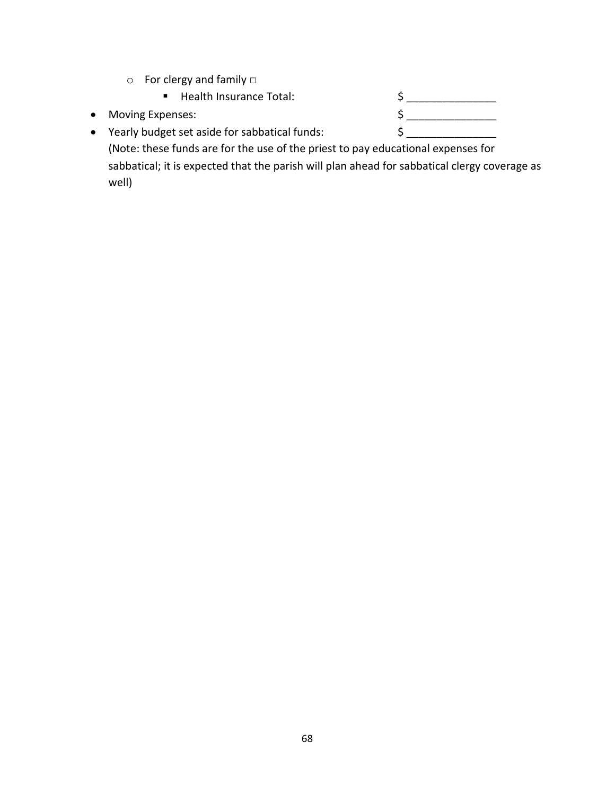- o For clergy and family □
	- Health Insurance Total:
- 
- Yearly budget set aside for sabbatical funds:  $\zeta$ (Note: these funds are for the use of the priest to pay educational expenses for sabbatical; it is expected that the parish will plan ahead for sabbatical clergy coverage as well)

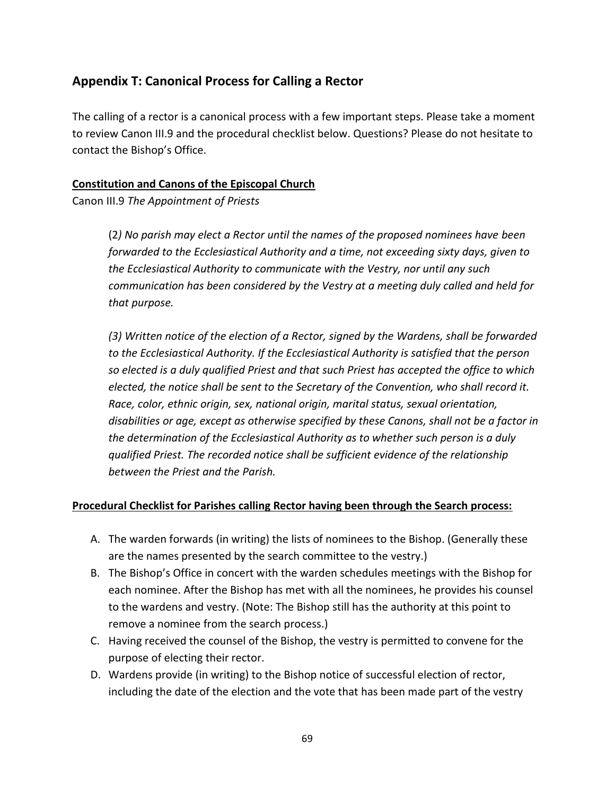# **Appendix T: Canonical Process for Calling a Rector**

The calling of a rector is a canonical process with a few important steps. Please take a moment to review Canon III.9 and the procedural checklist below. Questions? Please do not hesitate to contact the Bishop's Office.

### **Constitution and Canons of the Episcopal Church**

Canon III.9 *The Appointment of Priests*

(2*) No parish may elect a Rector until the names of the proposed nominees have been forwarded to the Ecclesiastical Authority and a time, not exceeding sixty days, given to the Ecclesiastical Authority to communicate with the Vestry, nor until any such communication has been considered by the Vestry at a meeting duly called and held for that purpose.*

*(3) Written notice of the election of a Rector, signed by the Wardens, shall be forwarded to the Ecclesiastical Authority. If the Ecclesiastical Authority is satisfied that the person so elected is a duly qualified Priest and that such Priest has accepted the office to which elected, the notice shall be sent to the Secretary of the Convention, who shall record it. Race, color, ethnic origin, sex, national origin, marital status, sexual orientation, disabilities or age, except as otherwise specified by these Canons, shall not be a factor in the determination of the Ecclesiastical Authority as to whether such person is a duly qualified Priest. The recorded notice shall be sufficient evidence of the relationship between the Priest and the Parish.*

#### **Procedural Checklist for Parishes calling Rector having been through the Search process:**

- A. The warden forwards (in writing) the lists of nominees to the Bishop. (Generally these are the names presented by the search committee to the vestry.)
- B. The Bishop's Office in concert with the warden schedules meetings with the Bishop for each nominee. After the Bishop has met with all the nominees, he provides his counsel to the wardens and vestry. (Note: The Bishop still has the authority at this point to remove a nominee from the search process.)
- C. Having received the counsel of the Bishop, the vestry is permitted to convene for the purpose of electing their rector.
- D. Wardens provide (in writing) to the Bishop notice of successful election of rector, including the date of the election and the vote that has been made part of the vestry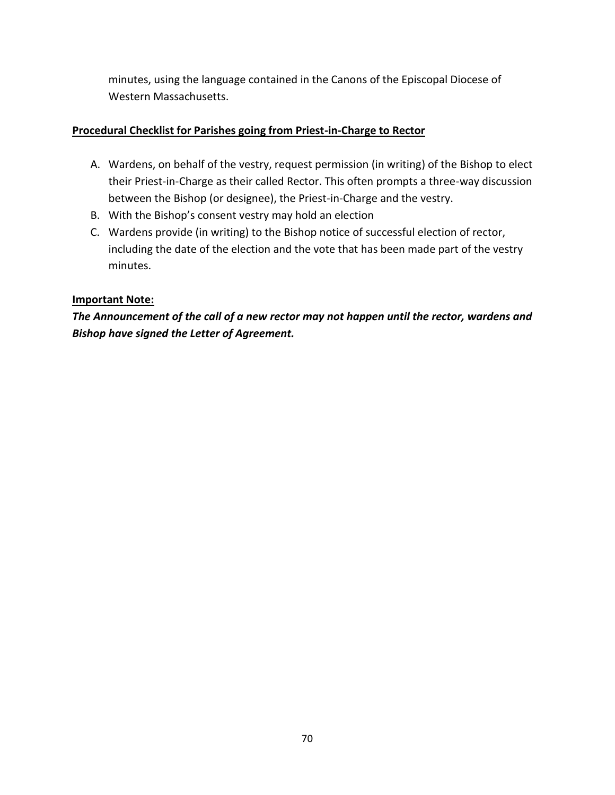minutes, using the language contained in the Canons of the Episcopal Diocese of Western Massachusetts.

### **Procedural Checklist for Parishes going from Priest-in-Charge to Rector**

- A. Wardens, on behalf of the vestry, request permission (in writing) of the Bishop to elect their Priest-in-Charge as their called Rector. This often prompts a three-way discussion between the Bishop (or designee), the Priest-in-Charge and the vestry.
- B. With the Bishop's consent vestry may hold an election
- C. Wardens provide (in writing) to the Bishop notice of successful election of rector, including the date of the election and the vote that has been made part of the vestry minutes.

### **Important Note:**

*The Announcement of the call of a new rector may not happen until the rector, wardens and Bishop have signed the Letter of Agreement.*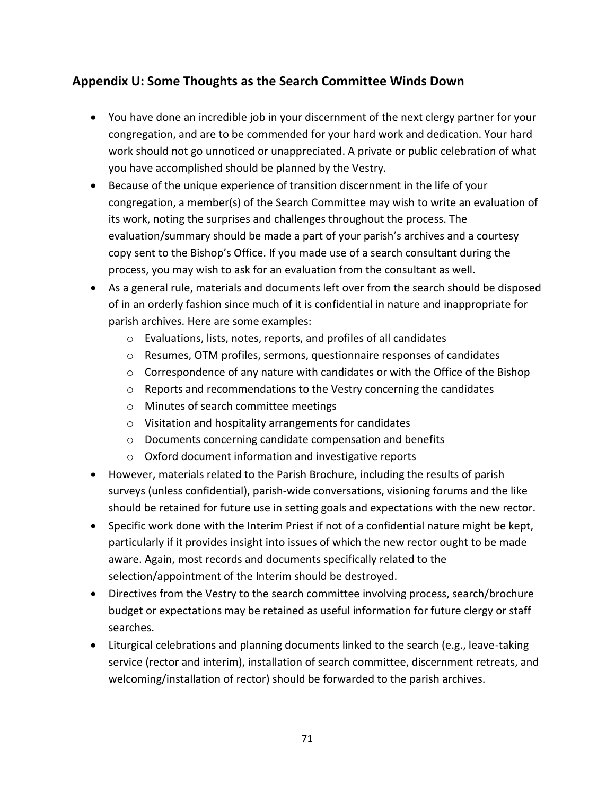# **Appendix U: Some Thoughts as the Search Committee Winds Down**

- You have done an incredible job in your discernment of the next clergy partner for your congregation, and are to be commended for your hard work and dedication. Your hard work should not go unnoticed or unappreciated. A private or public celebration of what you have accomplished should be planned by the Vestry.
- Because of the unique experience of transition discernment in the life of your congregation, a member(s) of the Search Committee may wish to write an evaluation of its work, noting the surprises and challenges throughout the process. The evaluation/summary should be made a part of your parish's archives and a courtesy copy sent to the Bishop's Office. If you made use of a search consultant during the process, you may wish to ask for an evaluation from the consultant as well.
- As a general rule, materials and documents left over from the search should be disposed of in an orderly fashion since much of it is confidential in nature and inappropriate for parish archives. Here are some examples:
	- o Evaluations, lists, notes, reports, and profiles of all candidates
	- o Resumes, OTM profiles, sermons, questionnaire responses of candidates
	- o Correspondence of any nature with candidates or with the Office of the Bishop
	- $\circ$  Reports and recommendations to the Vestry concerning the candidates
	- o Minutes of search committee meetings
	- o Visitation and hospitality arrangements for candidates
	- o Documents concerning candidate compensation and benefits
	- o Oxford document information and investigative reports
- However, materials related to the Parish Brochure, including the results of parish surveys (unless confidential), parish-wide conversations, visioning forums and the like should be retained for future use in setting goals and expectations with the new rector.
- Specific work done with the Interim Priest if not of a confidential nature might be kept, particularly if it provides insight into issues of which the new rector ought to be made aware. Again, most records and documents specifically related to the selection/appointment of the Interim should be destroyed.
- Directives from the Vestry to the search committee involving process, search/brochure budget or expectations may be retained as useful information for future clergy or staff searches.
- Liturgical celebrations and planning documents linked to the search (e.g., leave-taking service (rector and interim), installation of search committee, discernment retreats, and welcoming/installation of rector) should be forwarded to the parish archives.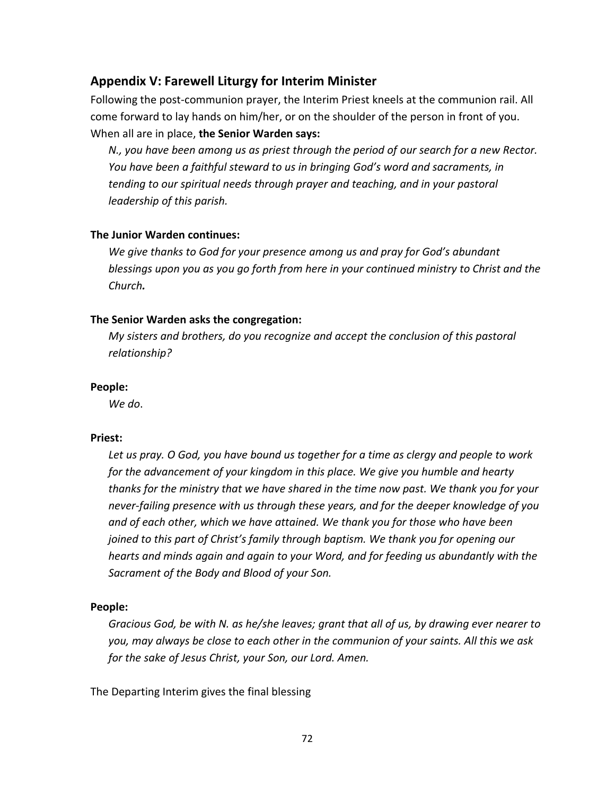### **Appendix V: Farewell Liturgy for Interim Minister**

Following the post-communion prayer, the Interim Priest kneels at the communion rail. All come forward to lay hands on him/her, or on the shoulder of the person in front of you. When all are in place, **the Senior Warden says:**

*N., you have been among us as priest through the period of our search for a new Rector. You have been a faithful steward to us in bringing God's word and sacraments, in tending to our spiritual needs through prayer and teaching, and in your pastoral leadership of this parish.*

#### **The Junior Warden continues:**

*We give thanks to God for your presence among us and pray for God's abundant blessings upon you as you go forth from here in your continued ministry to Christ and the Church.*

#### **The Senior Warden asks the congregation:**

*My sisters and brothers, do you recognize and accept the conclusion of this pastoral relationship?*

#### **People:**

*We do*.

#### **Priest:**

*Let us pray. O God, you have bound us together for a time as clergy and people to work for the advancement of your kingdom in this place. We give you humble and hearty thanks for the ministry that we have shared in the time now past. We thank you for your never-failing presence with us through these years, and for the deeper knowledge of you and of each other, which we have attained. We thank you for those who have been joined to this part of Christ's family through baptism. We thank you for opening our hearts and minds again and again to your Word, and for feeding us abundantly with the Sacrament of the Body and Blood of your Son.*

#### **People:**

*Gracious God, be with N. as he/she leaves; grant that all of us, by drawing ever nearer to you, may always be close to each other in the communion of your saints. All this we ask for the sake of Jesus Christ, your Son, our Lord. Amen.*

The Departing Interim gives the final blessing